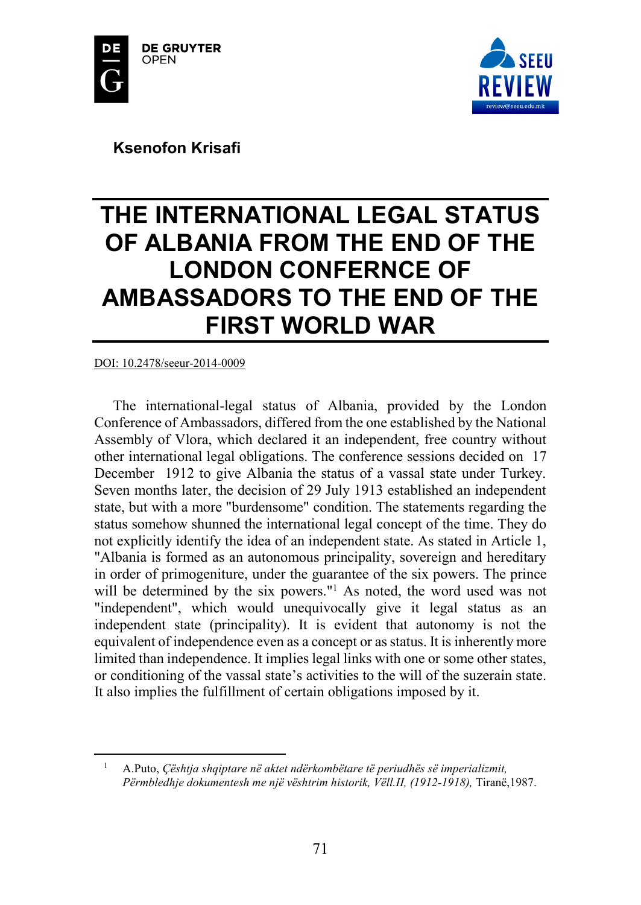



**Ksenofon Krisafi** 

# **THE INTERNATIONAL LEGAL STATUS OF ALBANIA FROM THE END OF THE LONDON CONFERNCE OF AMBASSADORS TO THE END OF THE FIRST WORLD WAR**

#### DOI: 10.2478/seeur-2014-0009

 $\overline{\phantom{a}}$ 

The international-legal status of Albania, provided by the London Conference of Ambassadors, differed from the one established by the National Assembly of Vlora, which declared it an independent, free country without other international legal obligations. The conference sessions decided on 17 December 1912 to give Albania the status of a vassal state under Turkey. Seven months later, the decision of 29 July 1913 established an independent state, but with a more "burdensome" condition. The statements regarding the status somehow shunned the international legal concept of the time. They do not explicitly identify the idea of an independent state. As stated in Article 1, "Albania is formed as an autonomous principality, sovereign and hereditary in order of primogeniture, under the guarantee of the six powers. The prince will be determined by the six powers."<sup>1</sup> As noted, the word used was not "independent", which would unequivocally give it legal status as an independent state (principality). It is evident that autonomy is not the equivalent of independence even as a concept or as status. It is inherently more limited than independence. It implies legal links with one or some other states, or conditioning of the vassal state's activities to the will of the suzerain state. It also implies the fulfillment of certain obligations imposed by it.

<sup>1</sup> A.Puto, *Çështja shqiptare në aktet ndërkombëtare të periudhës së imperializmit, Përmbledhje dokumentesh me një vështrim historik, Vëll.II, (1912-1918),* Tiranë,1987.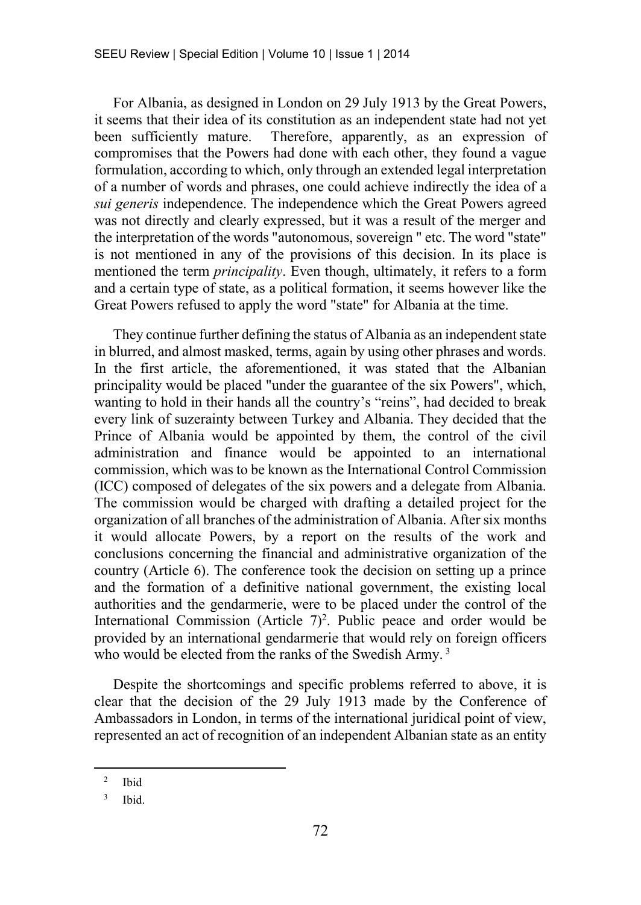For Albania, as designed in London on 29 July 1913 by the Great Powers, it seems that their idea of its constitution as an independent state had not yet been sufficiently mature. Therefore, apparently, as an expression of compromises that the Powers had done with each other, they found a vague formulation, according to which, only through an extended legal interpretation of a number of words and phrases, one could achieve indirectly the idea of a *sui generis* independence. The independence which the Great Powers agreed was not directly and clearly expressed, but it was a result of the merger and the interpretation of the words "autonomous, sovereign " etc. The word "state" is not mentioned in any of the provisions of this decision. In its place is mentioned the term *principality*. Even though, ultimately, it refers to a form and a certain type of state, as a political formation, it seems however like the Great Powers refused to apply the word "state" for Albania at the time.

They continue further defining the status of Albania as an independent state in blurred, and almost masked, terms, again by using other phrases and words. In the first article, the aforementioned, it was stated that the Albanian principality would be placed "under the guarantee of the six Powers", which, wanting to hold in their hands all the country's "reins", had decided to break every link of suzerainty between Turkey and Albania. They decided that the Prince of Albania would be appointed by them, the control of the civil administration and finance would be appointed to an international commission, which was to be known as the International Control Commission (ICC) composed of delegates of the six powers and a delegate from Albania. The commission would be charged with drafting a detailed project for the organization of all branches of the administration of Albania. After six months it would allocate Powers, by a report on the results of the work and conclusions concerning the financial and administrative organization of the country (Article 6). The conference took the decision on setting up a prince and the formation of a definitive national government, the existing local authorities and the gendarmerie, were to be placed under the control of the International Commission (Article  $7)^2$ . Public peace and order would be provided by an international gendarmerie that would rely on foreign officers who would be elected from the ranks of the Swedish Army.<sup>3</sup>

Despite the shortcomings and specific problems referred to above, it is clear that the decision of the 29 July 1913 made by the Conference of Ambassadors in London, in terms of the international juridical point of view, represented an act of recognition of an independent Albanian state as an entity

<sup>2</sup> Ibid

<sup>3</sup> Ibid.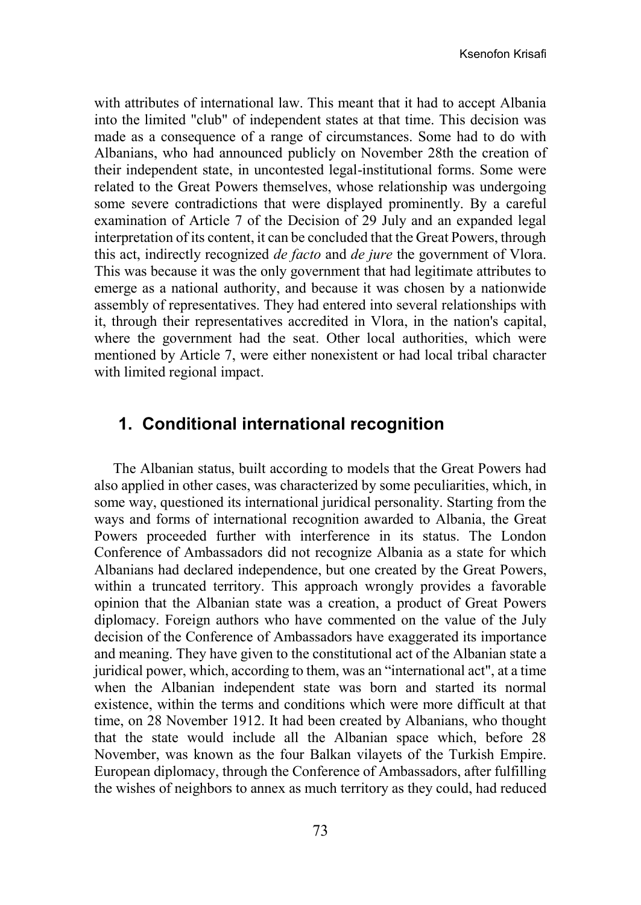with attributes of international law. This meant that it had to accept Albania into the limited "club" of independent states at that time. This decision was made as a consequence of a range of circumstances. Some had to do with Albanians, who had announced publicly on November 28th the creation of their independent state, in uncontested legal-institutional forms. Some were related to the Great Powers themselves, whose relationship was undergoing some severe contradictions that were displayed prominently. By a careful examination of Article 7 of the Decision of 29 July and an expanded legal interpretation of its content, it can be concluded that the Great Powers, through this act, indirectly recognized *de facto* and *de jure* the government of Vlora. This was because it was the only government that had legitimate attributes to emerge as a national authority, and because it was chosen by a nationwide assembly of representatives. They had entered into several relationships with it, through their representatives accredited in Vlora, in the nation's capital, where the government had the seat. Other local authorities, which were mentioned by Article 7, were either nonexistent or had local tribal character with limited regional impact.

### **1. Conditional international recognition**

The Albanian status, built according to models that the Great Powers had also applied in other cases, was characterized by some peculiarities, which, in some way, questioned its international juridical personality. Starting from the ways and forms of international recognition awarded to Albania, the Great Powers proceeded further with interference in its status. The London Conference of Ambassadors did not recognize Albania as a state for which Albanians had declared independence, but one created by the Great Powers, within a truncated territory. This approach wrongly provides a favorable opinion that the Albanian state was a creation, a product of Great Powers diplomacy. Foreign authors who have commented on the value of the July decision of the Conference of Ambassadors have exaggerated its importance and meaning. They have given to the constitutional act of the Albanian state a juridical power, which, according to them, was an "international act", at a time when the Albanian independent state was born and started its normal existence, within the terms and conditions which were more difficult at that time, on 28 November 1912. It had been created by Albanians, who thought that the state would include all the Albanian space which, before 28 November, was known as the four Balkan vilayets of the Turkish Empire. European diplomacy, through the Conference of Ambassadors, after fulfilling the wishes of neighbors to annex as much territory as they could, had reduced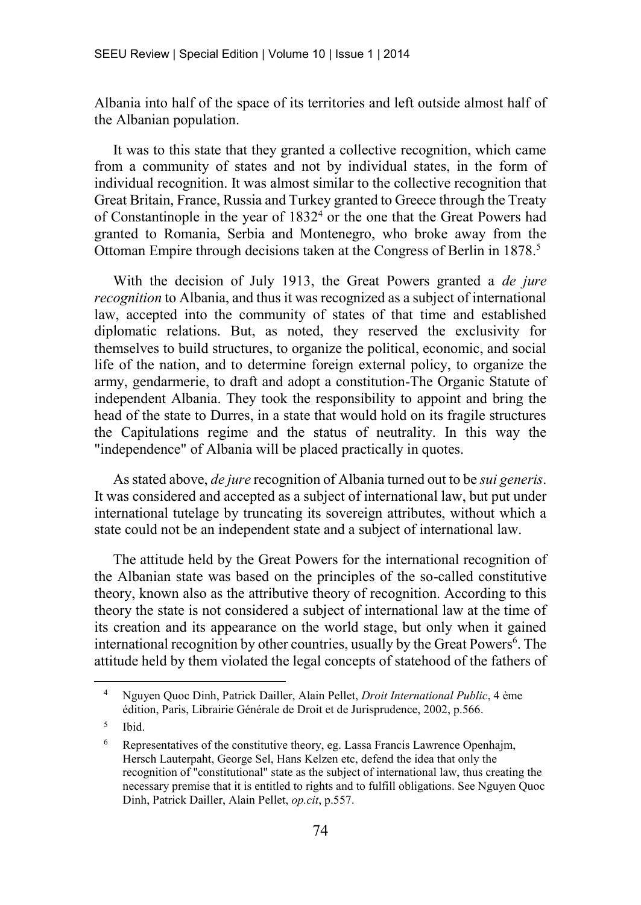Albania into half of the space of its territories and left outside almost half of the Albanian population.

It was to this state that they granted a collective recognition, which came from a community of states and not by individual states, in the form of individual recognition. It was almost similar to the collective recognition that Great Britain, France, Russia and Turkey granted to Greece through the Treaty of Constantinople in the year of 1832<sup>4</sup> or the one that the Great Powers had granted to Romania, Serbia and Montenegro, who broke away from the Ottoman Empire through decisions taken at the Congress of Berlin in 1878.<sup>5</sup>

With the decision of July 1913, the Great Powers granted a *de jure recognition* to Albania, and thus it was recognized as a subject of international law, accepted into the community of states of that time and established diplomatic relations. But, as noted, they reserved the exclusivity for themselves to build structures, to organize the political, economic, and social life of the nation, and to determine foreign external policy, to organize the army, gendarmerie, to draft and adopt a constitution-The Organic Statute of independent Albania. They took the responsibility to appoint and bring the head of the state to Durres, in a state that would hold on its fragile structures the Capitulations regime and the status of neutrality. In this way the "independence" of Albania will be placed practically in quotes.

As stated above, *de jure* recognition of Albania turned out to be *sui generis*. It was considered and accepted as a subject of international law, but put under international tutelage by truncating its sovereign attributes, without which a state could not be an independent state and a subject of international law.

The attitude held by the Great Powers for the international recognition of the Albanian state was based on the principles of the so-called constitutive theory, known also as the attributive theory of recognition. According to this theory the state is not considered a subject of international law at the time of its creation and its appearance on the world stage, but only when it gained international recognition by other countries, usually by the Great Powers<sup>6</sup>. The attitude held by them violated the legal concepts of statehood of the fathers of

<sup>4</sup> Nguyen Quoc Dinh, Patrick Dailler, Alain Pellet, *Droit International Public*, 4 ème édition, Paris, Librairie Générale de Droit et de Jurisprudence, 2002, p.566.

<sup>5</sup> Ibid.

<sup>6</sup> Representatives of the constitutive theory, eg. Lassa Francis Lawrence Openhajm, Hersch Lauterpaht, George Sel, Hans Kelzen etc, defend the idea that only the recognition of "constitutional" state as the subject of international law, thus creating the necessary premise that it is entitled to rights and to fulfill obligations. See Nguyen Quoc Dinh, Patrick Dailler, Alain Pellet, *op.cit*, p.557.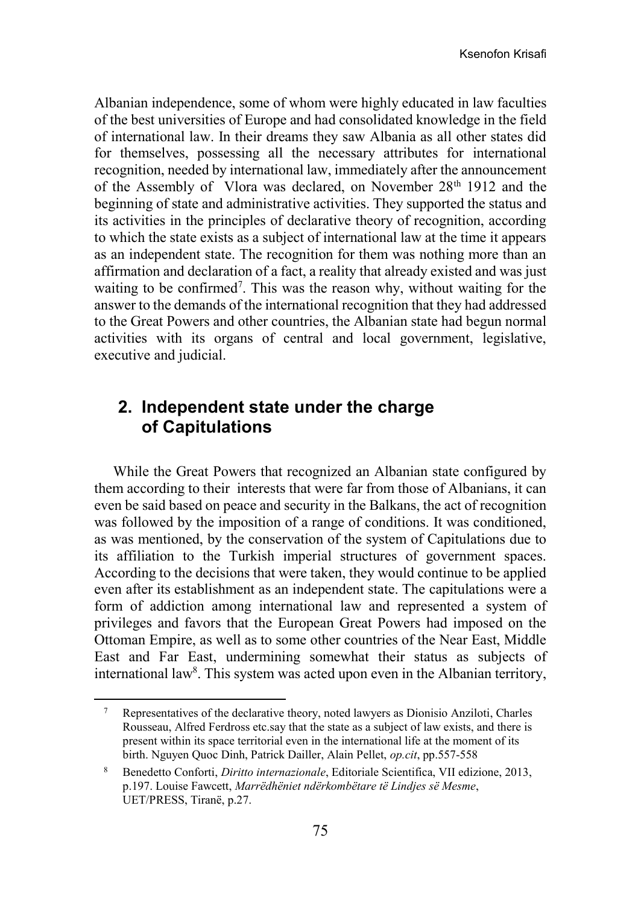Albanian independence, some of whom were highly educated in law faculties of the best universities of Europe and had consolidated knowledge in the field of international law. In their dreams they saw Albania as all other states did for themselves, possessing all the necessary attributes for international recognition, needed by international law, immediately after the announcement of the Assembly of Vlora was declared, on November 28<sup>th</sup> 1912 and the beginning of state and administrative activities. They supported the status and its activities in the principles of declarative theory of recognition, according to which the state exists as a subject of international law at the time it appears as an independent state. The recognition for them was nothing more than an affirmation and declaration of a fact, a reality that already existed and was just waiting to be confirmed<sup>7</sup>. This was the reason why, without waiting for the answer to the demands of the international recognition that they had addressed to the Great Powers and other countries, the Albanian state had begun normal activities with its organs of central and local government, legislative, executive and judicial.

# **2. Independent state under the charge of Capitulations**

While the Great Powers that recognized an Albanian state configured by them according to their interests that were far from those of Albanians, it can even be said based on peace and security in the Balkans, the act of recognition was followed by the imposition of a range of conditions. It was conditioned, as was mentioned, by the conservation of the system of Capitulations due to its affiliation to the Turkish imperial structures of government spaces. According to the decisions that were taken, they would continue to be applied even after its establishment as an independent state. The capitulations were a form of addiction among international law and represented a system of privileges and favors that the European Great Powers had imposed on the Ottoman Empire, as well as to some other countries of the Near East, Middle East and Far East, undermining somewhat their status as subjects of international law<sup>8</sup>. This system was acted upon even in the Albanian territory,

<sup>7</sup> Representatives of the declarative theory, noted lawyers as Dionisio Anziloti, Charles Rousseau, Alfred Ferdross etc.say that the state as a subject of law exists, and there is present within its space territorial even in the international life at the moment of its birth. Nguyen Quoc Dinh, Patrick Dailler, Alain Pellet, *op.cit*, pp.557-558

<sup>8</sup> Benedetto Conforti, *Diritto internazionale*, Editoriale Scientifica, VII edizione, 2013, p.197. Louise Fawcett, *Marrëdhëniet ndërkombëtare të Lindjes së Mesme*, UET/PRESS, Tiranë, p.27.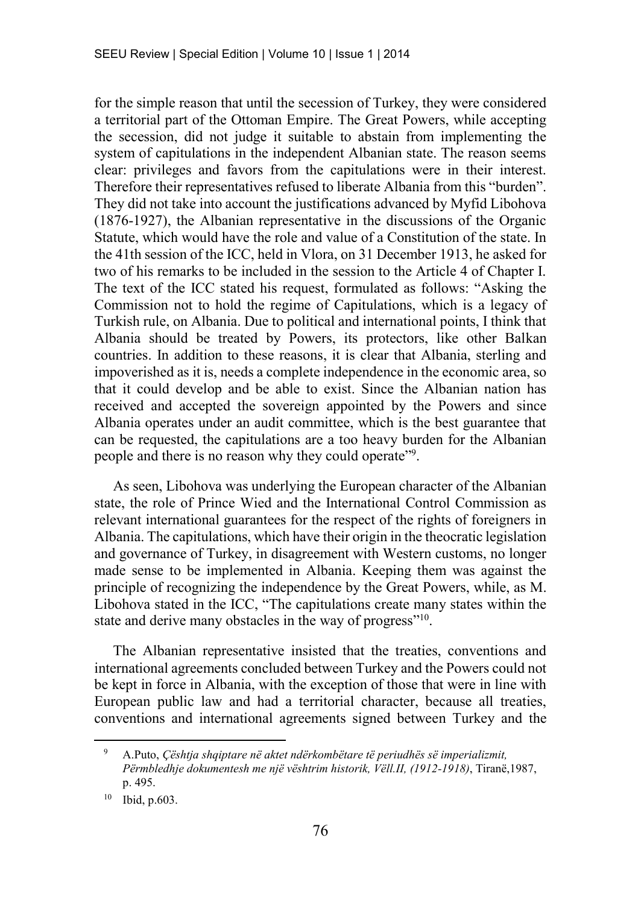for the simple reason that until the secession of Turkey, they were considered a territorial part of the Ottoman Empire. The Great Powers, while accepting the secession, did not judge it suitable to abstain from implementing the system of capitulations in the independent Albanian state. The reason seems clear: privileges and favors from the capitulations were in their interest. Therefore their representatives refused to liberate Albania from this "burden". They did not take into account the justifications advanced by Myfid Libohova (1876-1927), the Albanian representative in the discussions of the Organic Statute, which would have the role and value of a Constitution of the state. In the 41th session of the ICC, held in Vlora, on 31 December 1913, he asked for two of his remarks to be included in the session to the Article 4 of Chapter I. The text of the ICC stated his request, formulated as follows: "Asking the Commission not to hold the regime of Capitulations, which is a legacy of Turkish rule, on Albania. Due to political and international points, I think that Albania should be treated by Powers, its protectors, like other Balkan countries. In addition to these reasons, it is clear that Albania, sterling and impoverished as it is, needs a complete independence in the economic area, so that it could develop and be able to exist. Since the Albanian nation has received and accepted the sovereign appointed by the Powers and since Albania operates under an audit committee, which is the best guarantee that can be requested, the capitulations are a too heavy burden for the Albanian people and there is no reason why they could operate"<sup>9</sup>.

As seen, Libohova was underlying the European character of the Albanian state, the role of Prince Wied and the International Control Commission as relevant international guarantees for the respect of the rights of foreigners in Albania. The capitulations, which have their origin in the theocratic legislation and governance of Turkey, in disagreement with Western customs, no longer made sense to be implemented in Albania. Keeping them was against the principle of recognizing the independence by the Great Powers, while, as M. Libohova stated in the ICC, "The capitulations create many states within the state and derive many obstacles in the way of progress"<sup>10</sup>.

The Albanian representative insisted that the treaties, conventions and international agreements concluded between Turkey and the Powers could not be kept in force in Albania, with the exception of those that were in line with European public law and had a territorial character, because all treaties, conventions and international agreements signed between Turkey and the

<sup>9</sup> A.Puto, *Çështja shqiptare në aktet ndërkombëtare të periudhës së imperializmit, Përmbledhje dokumentesh me një vështrim historik, Vëll.II, (1912-1918)*, Tiranë,1987, p. 495.

<sup>10</sup> Ibid, p.603.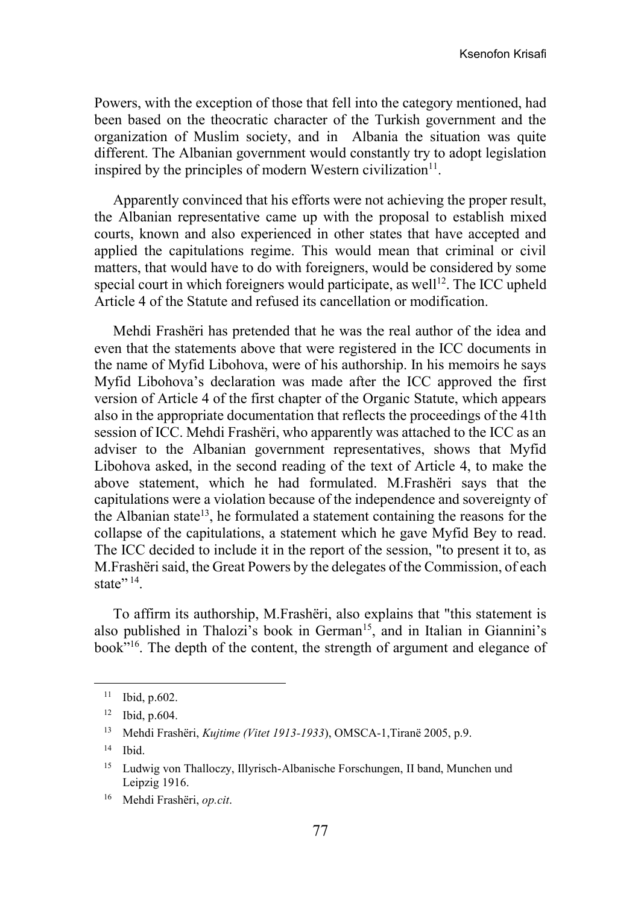Powers, with the exception of those that fell into the category mentioned, had been based on the theocratic character of the Turkish government and the organization of Muslim society, and in Albania the situation was quite different. The Albanian government would constantly try to adopt legislation inspired by the principles of modern Western civilization $11$ .

Apparently convinced that his efforts were not achieving the proper result, the Albanian representative came up with the proposal to establish mixed courts, known and also experienced in other states that have accepted and applied the capitulations regime. This would mean that criminal or civil matters, that would have to do with foreigners, would be considered by some special court in which foreigners would participate, as well<sup>12</sup>. The ICC upheld Article 4 of the Statute and refused its cancellation or modification.

Mehdi Frashëri has pretended that he was the real author of the idea and even that the statements above that were registered in the ICC documents in the name of Myfid Libohova, were of his authorship. In his memoirs he says Myfid Libohova's declaration was made after the ICC approved the first version of Article 4 of the first chapter of the Organic Statute, which appears also in the appropriate documentation that reflects the proceedings of the 41th session of ICC. Mehdi Frashëri, who apparently was attached to the ICC as an adviser to the Albanian government representatives, shows that Myfid Libohova asked, in the second reading of the text of Article 4, to make the above statement, which he had formulated. M.Frashëri says that the capitulations were a violation because of the independence and sovereignty of the Albanian state<sup>13</sup>, he formulated a statement containing the reasons for the collapse of the capitulations, a statement which he gave Myfid Bey to read. The ICC decided to include it in the report of the session, "to present it to, as M.Frashëri said, the Great Powers by the delegates of the Commission, of each state"  $14$ .

To affirm its authorship, M.Frashëri, also explains that "this statement is also published in Thalozi's book in German<sup>15</sup>, and in Italian in Giannini's book $\dot{m}$ <sup>16</sup>. The depth of the content, the strength of argument and elegance of

<sup>11</sup> Ibid, p.602.

<sup>12</sup> Ibid, p.604.

<sup>13</sup> Mehdi Frashëri, *Kujtime (Vitet 1913-1933*), OMSCA-1,Tiranë 2005, p.9.

<sup>14</sup> Ibid.

<sup>15</sup> Ludwig von Thalloczy, Illyrisch-Albanische Forschungen, II band, Munchen und Leipzig 1916.

<sup>16</sup> Mehdi Frashëri, *op.cit*.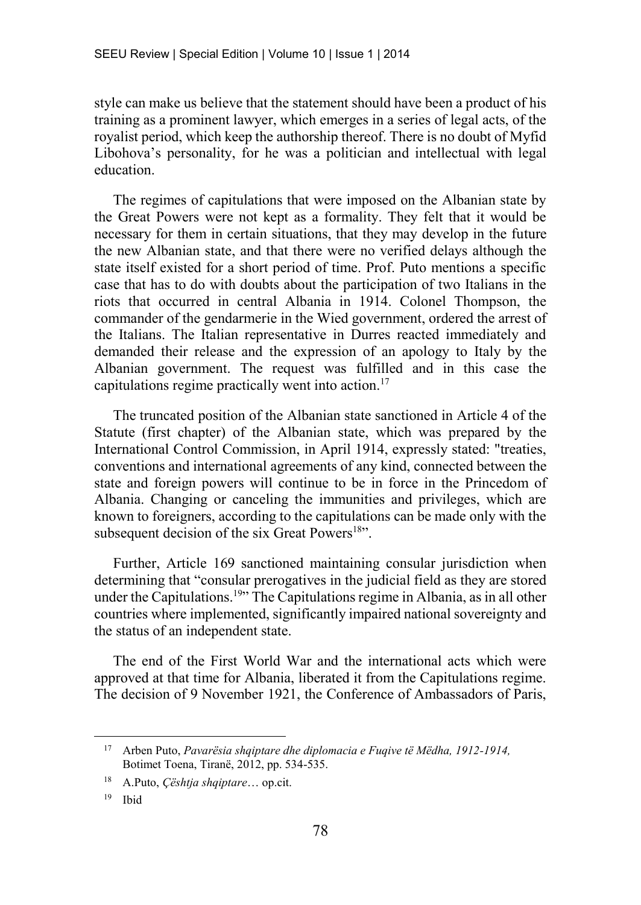style can make us believe that the statement should have been a product of his training as a prominent lawyer, which emerges in a series of legal acts, of the royalist period, which keep the authorship thereof. There is no doubt of Myfid Libohova's personality, for he was a politician and intellectual with legal education.

The regimes of capitulations that were imposed on the Albanian state by the Great Powers were not kept as a formality. They felt that it would be necessary for them in certain situations, that they may develop in the future the new Albanian state, and that there were no verified delays although the state itself existed for a short period of time. Prof. Puto mentions a specific case that has to do with doubts about the participation of two Italians in the riots that occurred in central Albania in 1914. Colonel Thompson, the commander of the gendarmerie in the Wied government, ordered the arrest of the Italians. The Italian representative in Durres reacted immediately and demanded their release and the expression of an apology to Italy by the Albanian government. The request was fulfilled and in this case the capitulations regime practically went into action.<sup>17</sup>

The truncated position of the Albanian state sanctioned in Article 4 of the Statute (first chapter) of the Albanian state, which was prepared by the International Control Commission, in April 1914, expressly stated: "treaties, conventions and international agreements of any kind, connected between the state and foreign powers will continue to be in force in the Princedom of Albania. Changing or canceling the immunities and privileges, which are known to foreigners, according to the capitulations can be made only with the subsequent decision of the six Great Powers $18$ ".

Further, Article 169 sanctioned maintaining consular jurisdiction when determining that "consular prerogatives in the judicial field as they are stored under the Capitulations.<sup>19</sup><sup>3</sup> The Capitulations regime in Albania, as in all other countries where implemented, significantly impaired national sovereignty and the status of an independent state.

The end of the First World War and the international acts which were approved at that time for Albania, liberated it from the Capitulations regime. The decision of 9 November 1921, the Conference of Ambassadors of Paris,

<sup>17</sup> Arben Puto, *Pavarësia shqiptare dhe diplomacia e Fuqive të Mëdha, 1912-1914,* Botimet Toena, Tiranë, 2012, pp. 534-535.

<sup>18</sup> A.Puto, *Çështja shqiptare*… op.cit.

<sup>19</sup> Ibid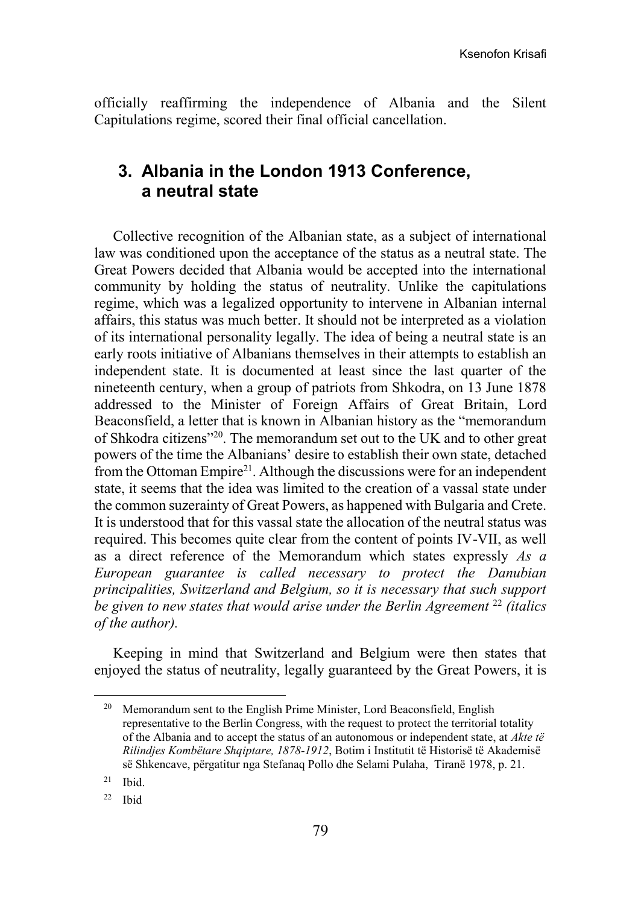officially reaffirming the independence of Albania and the Silent Capitulations regime, scored their final official cancellation.

# **3. Albania in the London 1913 Conference, a neutral state**

Collective recognition of the Albanian state, as a subject of international law was conditioned upon the acceptance of the status as a neutral state. The Great Powers decided that Albania would be accepted into the international community by holding the status of neutrality. Unlike the capitulations regime, which was a legalized opportunity to intervene in Albanian internal affairs, this status was much better. It should not be interpreted as a violation of its international personality legally. The idea of being a neutral state is an early roots initiative of Albanians themselves in their attempts to establish an independent state. It is documented at least since the last quarter of the nineteenth century, when a group of patriots from Shkodra, on 13 June 1878 addressed to the Minister of Foreign Affairs of Great Britain, Lord Beaconsfield, a letter that is known in Albanian history as the "memorandum of Shkodra citizens"<sup>20</sup>. The memorandum set out to the UK and to other great powers of the time the Albanians' desire to establish their own state, detached from the Ottoman Empire<sup>21</sup>. Although the discussions were for an independent state, it seems that the idea was limited to the creation of a vassal state under the common suzerainty of Great Powers, as happened with Bulgaria and Crete. It is understood that for this vassal state the allocation of the neutral status was required. This becomes quite clear from the content of points IV-VII, as well as a direct reference of the Memorandum which states expressly *As a European guarantee is called necessary to protect the Danubian principalities, Switzerland and Belgium, so it is necessary that such support be given to new states that would arise under the Berlin Agreement* <sup>22</sup> *(italics of the author).*

Keeping in mind that Switzerland and Belgium were then states that enjoyed the status of neutrality, legally guaranteed by the Great Powers, it is

<sup>&</sup>lt;sup>20</sup> Memorandum sent to the English Prime Minister, Lord Beaconsfield, English representative to the Berlin Congress, with the request to protect the territorial totality of the Albania and to accept the status of an autonomous or independent state, at *Akte të Rilindjes Kombëtare Shqiptare, 1878-1912*, Botim i Institutit të Historisë të Akademisë së Shkencave, përgatitur nga Stefanaq Pollo dhe Selami Pulaha, Tiranë 1978, p. 21.

 $21$  Ibid.

<sup>22</sup> Ibid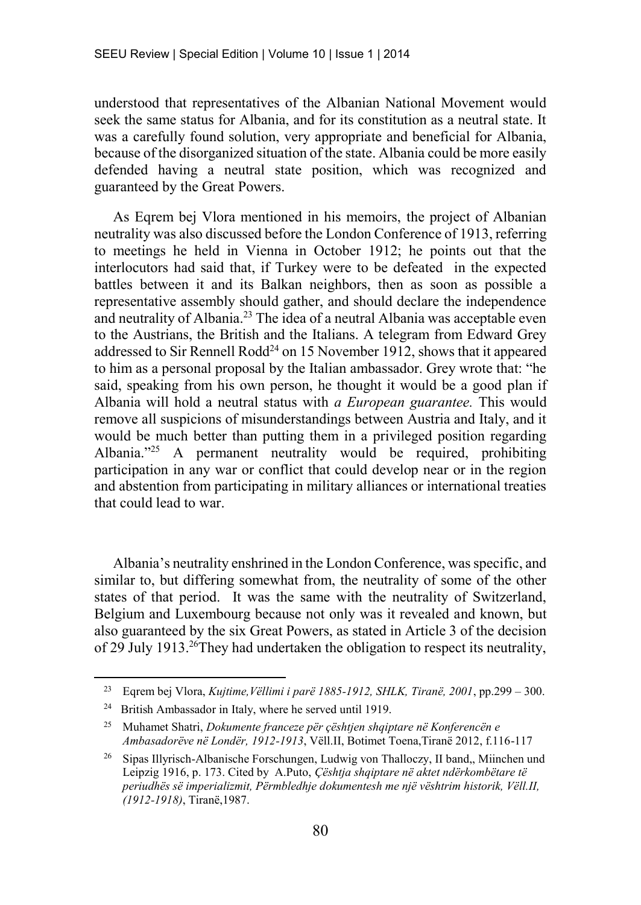understood that representatives of the Albanian National Movement would seek the same status for Albania, and for its constitution as a neutral state. It was a carefully found solution, very appropriate and beneficial for Albania, because of the disorganized situation of the state. Albania could be more easily defended having a neutral state position, which was recognized and guaranteed by the Great Powers.

As Eqrem bej Vlora mentioned in his memoirs, the project of Albanian neutrality was also discussed before the London Conference of 1913, referring to meetings he held in Vienna in October 1912; he points out that the interlocutors had said that, if Turkey were to be defeated in the expected battles between it and its Balkan neighbors, then as soon as possible a representative assembly should gather, and should declare the independence and neutrality of Albania.<sup>23</sup> The idea of a neutral Albania was acceptable even to the Austrians, the British and the Italians. A telegram from Edward Grey addressed to Sir Rennell Rodd<sup>24</sup> on 15 November 1912, shows that it appeared to him as a personal proposal by the Italian ambassador. Grey wrote that: "he said, speaking from his own person, he thought it would be a good plan if Albania will hold a neutral status with *a European guarantee.* This would remove all suspicions of misunderstandings between Austria and Italy, and it would be much better than putting them in a privileged position regarding Albania."<sup>25</sup> A permanent neutrality would be required, prohibiting participation in any war or conflict that could develop near or in the region and abstention from participating in military alliances or international treaties that could lead to war.

Albania's neutrality enshrined in the London Conference, was specific, and similar to, but differing somewhat from, the neutrality of some of the other states of that period. It was the same with the neutrality of Switzerland, Belgium and Luxembourg because not only was it revealed and known, but also guaranteed by the six Great Powers, as stated in Article 3 of the decision of 29 July 1913.<sup>26</sup>They had undertaken the obligation to respect its neutrality,

<sup>23</sup> Eqrem bej Vlora, *Kujtime,Vëllimi i parë 1885-1912, SHLK, Tiranë, 2001*, pp.299 – 300.

<sup>24</sup> British Ambassador in Italy, where he served until 1919.

<sup>25</sup> Muhamet Shatri, *Dokumente franceze për çështjen shqiptare në Konferencën e Ambasadorëve në Londër, 1912-1913*, Vëll.II, Botimet Toena,Tiranë 2012, f.116-117

<sup>26</sup> Sipas Illyrisch-Albanische Forschungen, Ludwig von Thalloczy, II band,, Miinchen und Leipzig 1916, p. 173. Cited by A.Puto, *Çështja shqiptare në aktet ndërkombëtare të periudhës së imperializmit, Përmbledhje dokumentesh me një vështrim historik, Vëll.II, (1912-1918)*, Tiranë,1987.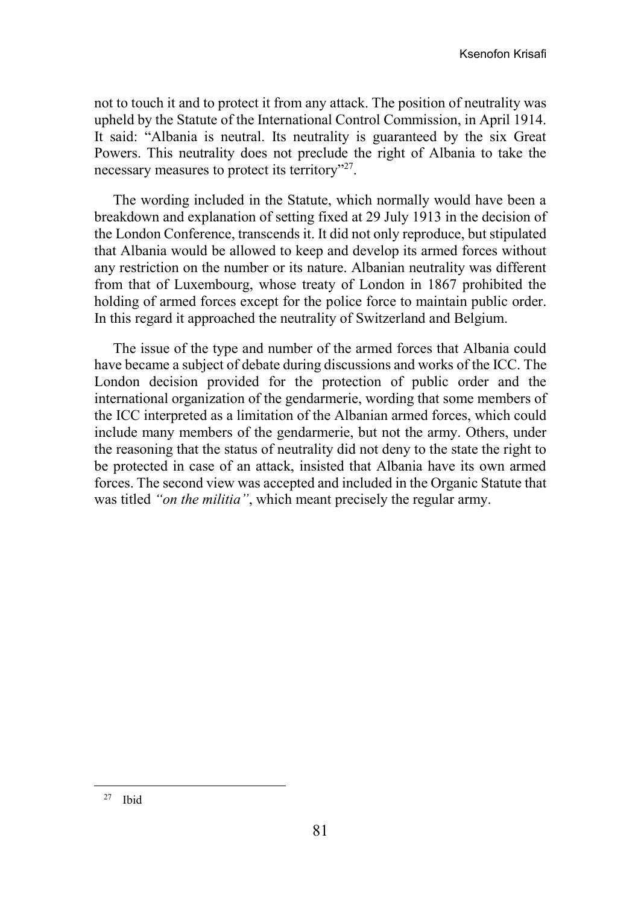not to touch it and to protect it from any attack. The position of neutrality was upheld by the Statute of the International Control Commission, in April 1914. It said: "Albania is neutral. Its neutrality is guaranteed by the six Great Powers. This neutrality does not preclude the right of Albania to take the necessary measures to protect its territory"<sup>27</sup>.

The wording included in the Statute, which normally would have been a breakdown and explanation of setting fixed at 29 July 1913 in the decision of the London Conference, transcends it. It did not only reproduce, but stipulated that Albania would be allowed to keep and develop its armed forces without any restriction on the number or its nature. Albanian neutrality was different from that of Luxembourg, whose treaty of London in 1867 prohibited the holding of armed forces except for the police force to maintain public order. In this regard it approached the neutrality of Switzerland and Belgium.

The issue of the type and number of the armed forces that Albania could have became a subject of debate during discussions and works of the ICC. The London decision provided for the protection of public order and the international organization of the gendarmerie, wording that some members of the ICC interpreted as a limitation of the Albanian armed forces, which could include many members of the gendarmerie, but not the army. Others, under the reasoning that the status of neutrality did not deny to the state the right to be protected in case of an attack, insisted that Albania have its own armed forces. The second view was accepted and included in the Organic Statute that was titled *"on the militia"*, which meant precisely the regular army.

<sup>27</sup> Ibid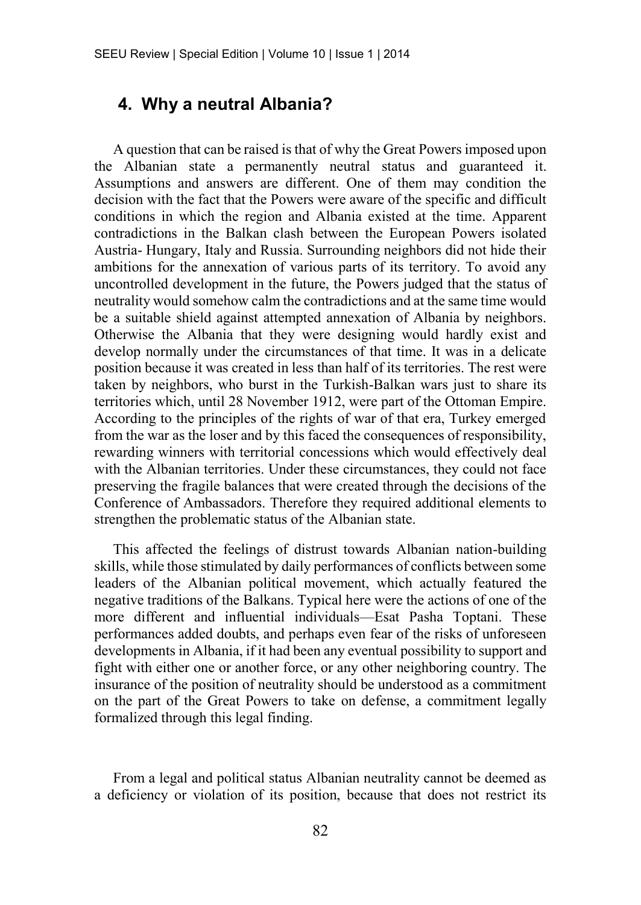# **4. Why a neutral Albania?**

A question that can be raised is that of why the Great Powers imposed upon the Albanian state a permanently neutral status and guaranteed it. Assumptions and answers are different. One of them may condition the decision with the fact that the Powers were aware of the specific and difficult conditions in which the region and Albania existed at the time. Apparent contradictions in the Balkan clash between the European Powers isolated Austria- Hungary, Italy and Russia. Surrounding neighbors did not hide their ambitions for the annexation of various parts of its territory. To avoid any uncontrolled development in the future, the Powers judged that the status of neutrality would somehow calm the contradictions and at the same time would be a suitable shield against attempted annexation of Albania by neighbors. Otherwise the Albania that they were designing would hardly exist and develop normally under the circumstances of that time. It was in a delicate position because it was created in less than half of its territories. The rest were taken by neighbors, who burst in the Turkish-Balkan wars just to share its territories which, until 28 November 1912, were part of the Ottoman Empire. According to the principles of the rights of war of that era, Turkey emerged from the war as the loser and by this faced the consequences of responsibility, rewarding winners with territorial concessions which would effectively deal with the Albanian territories. Under these circumstances, they could not face preserving the fragile balances that were created through the decisions of the Conference of Ambassadors. Therefore they required additional elements to strengthen the problematic status of the Albanian state.

This affected the feelings of distrust towards Albanian nation-building skills, while those stimulated by daily performances of conflicts between some leaders of the Albanian political movement, which actually featured the negative traditions of the Balkans. Typical here were the actions of one of the more different and influential individuals—Esat Pasha Toptani. These performances added doubts, and perhaps even fear of the risks of unforeseen developments in Albania, if it had been any eventual possibility to support and fight with either one or another force, or any other neighboring country. The insurance of the position of neutrality should be understood as a commitment on the part of the Great Powers to take on defense, a commitment legally formalized through this legal finding.

From a legal and political status Albanian neutrality cannot be deemed as a deficiency or violation of its position, because that does not restrict its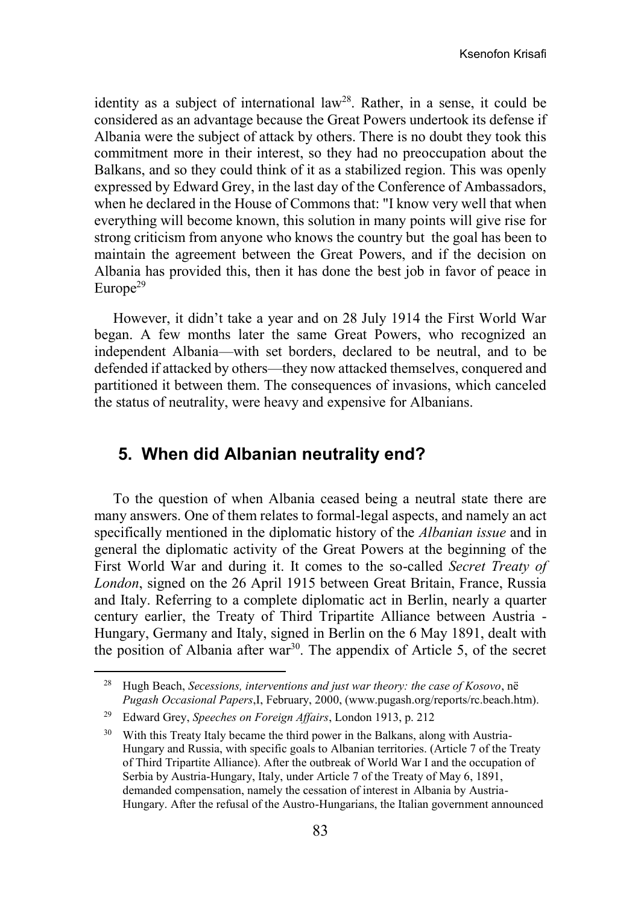identity as a subject of international law<sup>28</sup>. Rather, in a sense, it could be considered as an advantage because the Great Powers undertook its defense if Albania were the subject of attack by others. There is no doubt they took this commitment more in their interest, so they had no preoccupation about the Balkans, and so they could think of it as a stabilized region. This was openly expressed by Edward Grey, in the last day of the Conference of Ambassadors, when he declared in the House of Commons that: "I know very well that when everything will become known, this solution in many points will give rise for strong criticism from anyone who knows the country but the goal has been to maintain the agreement between the Great Powers, and if the decision on Albania has provided this, then it has done the best job in favor of peace in Europe<sup>29</sup>

However, it didn't take a year and on 28 July 1914 the First World War began. A few months later the same Great Powers, who recognized an independent Albania—with set borders, declared to be neutral, and to be defended if attacked by others—they now attacked themselves, conquered and partitioned it between them. The consequences of invasions, which canceled the status of neutrality, were heavy and expensive for Albanians.

# **5. When did Albanian neutrality end?**

To the question of when Albania ceased being a neutral state there are many answers. One of them relates to formal-legal aspects, and namely an act specifically mentioned in the diplomatic history of the *Albanian issue* and in general the diplomatic activity of the Great Powers at the beginning of the First World War and during it. It comes to the so-called *Secret Treaty of London*, signed on the 26 April 1915 between Great Britain, France, Russia and Italy. Referring to a complete diplomatic act in Berlin, nearly a quarter century earlier, the Treaty of Third Tripartite Alliance between Austria - Hungary, Germany and Italy, signed in Berlin on the 6 May 1891, dealt with the position of Albania after  $war^{30}$ . The appendix of Article 5, of the secret

<sup>28</sup> Hugh Beach, *Secessions, interventions and just war theory: the case of Kosovo*, në *Pugash Occasional Papers*,I, February, 2000, (www.pugash.org/reports/rc.beach.htm).

<sup>29</sup> Edward Grey, *Speeches on Foreign Affairs*, London 1913, p. 212

<sup>&</sup>lt;sup>30</sup> With this Treaty Italy became the third power in the Balkans, along with Austria-Hungary and Russia, with specific goals to Albanian territories. (Article 7 of the Treaty of Third Tripartite Alliance). After the outbreak of World War I and the occupation of Serbia by Austria-Hungary, Italy, under Article 7 of the Treaty of May 6, 1891, demanded compensation, namely the cessation of interest in Albania by Austria-Hungary. After the refusal of the Austro-Hungarians, the Italian government announced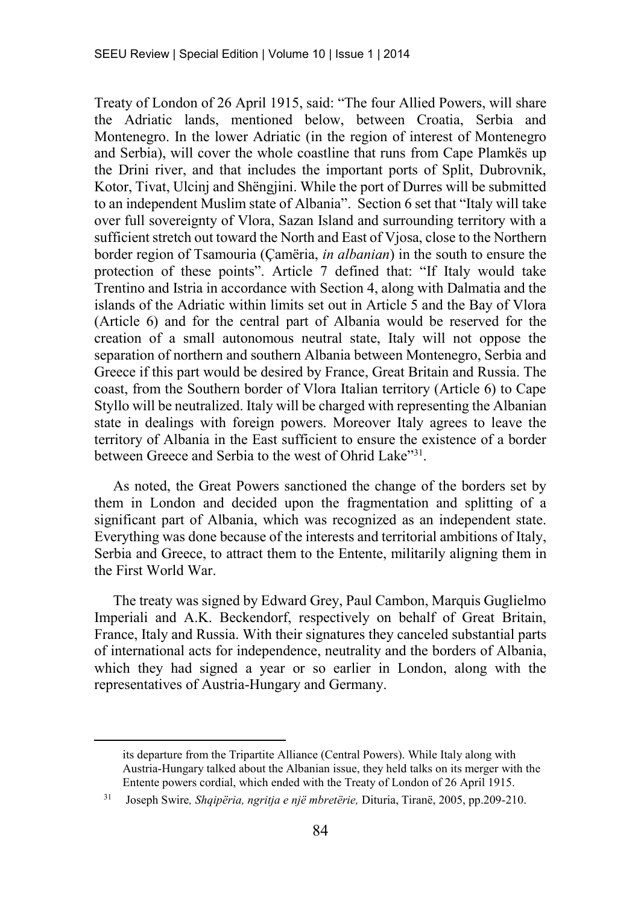Treaty of London of 26 April 1915, said: "The four Allied Powers, will share the Adriatic lands, mentioned below, between Croatia, Serbia and Montenegro. In the lower Adriatic (in the region of interest of Montenegro and Serbia), will cover the whole coastline that runs from Cape Plamkës up the Drini river, and that includes the important ports of Split, Dubrovnik, Kotor, Tivat, Ulcinj and Shëngjini. While the port of Durres will be submitted to an independent Muslim state of Albania". Section 6 set that "Italy will take over full sovereignty of Vlora, Sazan Island and surrounding territory with a sufficient stretch out toward the North and East of Vjosa, close to the Northern border region of Tsamouria (Çamëria, *in albanian*) in the south to ensure the protection of these points". Article 7 defined that: "If Italy would take Trentino and Istria in accordance with Section 4, along with Dalmatia and the islands of the Adriatic within limits set out in Article 5 and the Bay of Vlora (Article 6) and for the central part of Albania would be reserved for the creation of a small autonomous neutral state, Italy will not oppose the separation of northern and southern Albania between Montenegro, Serbia and Greece if this part would be desired by France, Great Britain and Russia. The coast, from the Southern border of Vlora Italian territory (Article 6) to Cape Styllo will be neutralized. Italy will be charged with representing the Albanian state in dealings with foreign powers. Moreover Italy agrees to leave the territory of Albania in the East sufficient to ensure the existence of a border between Greece and Serbia to the west of Ohrid Lake"<sup>31</sup>.

As noted, the Great Powers sanctioned the change of the borders set by them in London and decided upon the fragmentation and splitting of a significant part of Albania, which was recognized as an independent state. Everything was done because of the interests and territorial ambitions of Italy, Serbia and Greece, to attract them to the Entente, militarily aligning them in the First World War.

The treaty was signed by Edward Grey, Paul Cambon, Marquis Guglielmo Imperiali and A.K. Beckendorf, respectively on behalf of Great Britain, France, Italy and Russia. With their signatures they canceled substantial parts of international acts for independence, neutrality and the borders of Albania, which they had signed a year or so earlier in London, along with the representatives of Austria-Hungary and Germany.

its departure from the Tripartite Alliance (Central Powers). While Italy along with Austria-Hungary talked about the Albanian issue, they held talks on its merger with the Entente powers cordial, which ended with the Treaty of London of 26 April 1915.

<sup>31</sup> Joseph Swire*, Shqipëria, ngritja e një mbretërie,* Dituria, Tiranë, 2005, pp.209-210.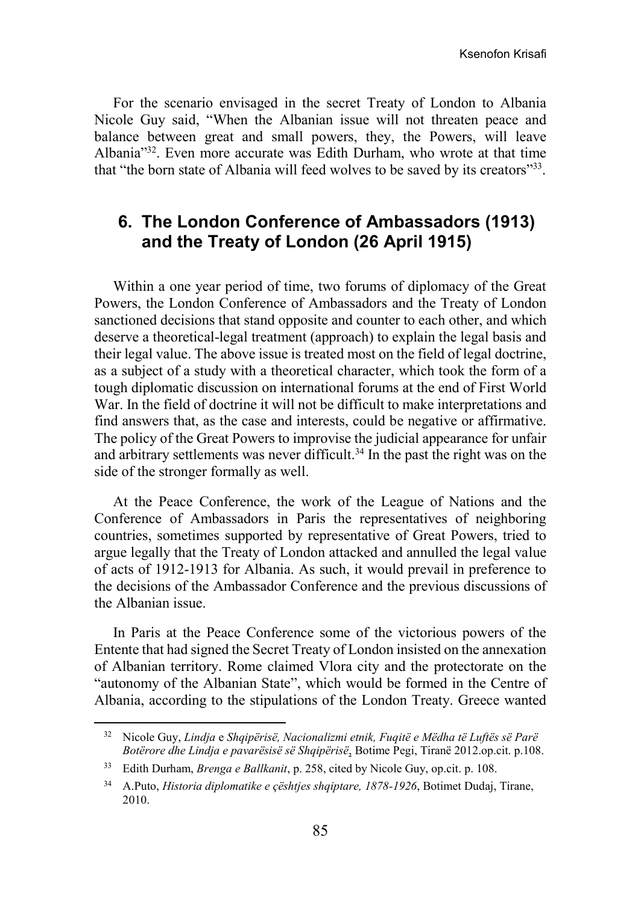Ksenofon Krisafi

For the scenario envisaged in the secret Treaty of London to Albania Nicole Guy said, "When the Albanian issue will not threaten peace and balance between great and small powers, they, the Powers, will leave Albania<sup>"32</sup>. Even more accurate was Edith Durham, who wrote at that time that "the born state of Albania will feed wolves to be saved by its creators"<sup>33</sup>.

# **6. The London Conference of Ambassadors (1913) and the Treaty of London (26 April 1915)**

Within a one year period of time, two forums of diplomacy of the Great Powers, the London Conference of Ambassadors and the Treaty of London sanctioned decisions that stand opposite and counter to each other, and which deserve a theoretical-legal treatment (approach) to explain the legal basis and their legal value. The above issue is treated most on the field of legal doctrine, as a subject of a study with a theoretical character, which took the form of a tough diplomatic discussion on international forums at the end of First World War. In the field of doctrine it will not be difficult to make interpretations and find answers that, as the case and interests, could be negative or affirmative. The policy of the Great Powers to improvise the judicial appearance for unfair and arbitrary settlements was never difficult.<sup>34</sup> In the past the right was on the side of the stronger formally as well.

At the Peace Conference, the work of the League of Nations and the Conference of Ambassadors in Paris the representatives of neighboring countries, sometimes supported by representative of Great Powers, tried to argue legally that the Treaty of London attacked and annulled the legal value of acts of 1912-1913 for Albania. As such, it would prevail in preference to the decisions of the Ambassador Conference and the previous discussions of the Albanian issue.

In Paris at the Peace Conference some of the victorious powers of the Entente that had signed the Secret Treaty of London insisted on the annexation of Albanian territory. Rome claimed Vlora city and the protectorate on the "autonomy of the Albanian State", which would be formed in the Centre of Albania, according to the stipulations of the London Treaty. Greece wanted

<sup>32</sup> Nicole Guy, *Lindja* e *Shqipërisë, Nacionalizmi etnik, Fuqitë e Mëdha të Luftës së Parë Botërore dhe Lindja e pavarësisë së Shqipërisë*, Botime Pegi, Tiranë 2012.op.cit. p.108.

<sup>33</sup> Edith Durham, *Brenga e Ballkanit*, p. 258, cited by Nicole Guy, op.cit. p. 108.

<sup>34</sup> A.Puto, *Historia diplomatike e çështjes shqiptare, 1878-1926*, Botimet Dudaj, Tirane, 2010.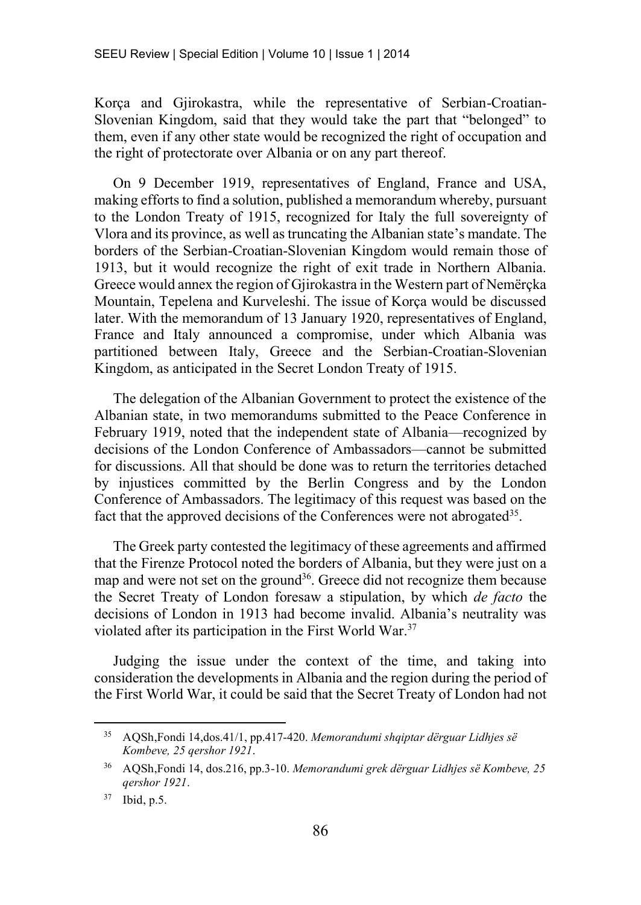Korça and Gjirokastra, while the representative of Serbian-Croatian-Slovenian Kingdom, said that they would take the part that "belonged" to them, even if any other state would be recognized the right of occupation and the right of protectorate over Albania or on any part thereof.

On 9 December 1919, representatives of England, France and USA, making efforts to find a solution, published a memorandum whereby, pursuant to the London Treaty of 1915, recognized for Italy the full sovereignty of Vlora and its province, as well as truncating the Albanian state's mandate. The borders of the Serbian-Croatian-Slovenian Kingdom would remain those of 1913, but it would recognize the right of exit trade in Northern Albania. Greece would annex the region of Gjirokastra in the Western part of Nemërçka Mountain, Tepelena and Kurveleshi. The issue of Korça would be discussed later. With the memorandum of 13 January 1920, representatives of England, France and Italy announced a compromise, under which Albania was partitioned between Italy, Greece and the Serbian-Croatian-Slovenian Kingdom, as anticipated in the Secret London Treaty of 1915.

The delegation of the Albanian Government to protect the existence of the Albanian state, in two memorandums submitted to the Peace Conference in February 1919, noted that the independent state of Albania—recognized by decisions of the London Conference of Ambassadors—cannot be submitted for discussions. All that should be done was to return the territories detached by injustices committed by the Berlin Congress and by the London Conference of Ambassadors. The legitimacy of this request was based on the fact that the approved decisions of the Conferences were not abrogated<sup>35</sup>.

The Greek party contested the legitimacy of these agreements and affirmed that the Firenze Protocol noted the borders of Albania, but they were just on a map and were not set on the ground<sup>36</sup>. Greece did not recognize them because the Secret Treaty of London foresaw a stipulation, by which *de facto* the decisions of London in 1913 had become invalid. Albania's neutrality was violated after its participation in the First World War.<sup>37</sup>

Judging the issue under the context of the time, and taking into consideration the developments in Albania and the region during the period of the First World War, it could be said that the Secret Treaty of London had not

<sup>35</sup> AQSh,Fondi 14,dos.41/1, pp.417-420. *Memorandumi shqiptar dërguar Lidhjes së Kombeve, 25 qershor 1921*.

<sup>36</sup> AQSh,Fondi 14, dos.216, pp.3-10. *Memorandumi grek dërguar Lidhjes së Kombeve, 25 qershor 1921*.

<sup>37</sup> Ibid, p.5.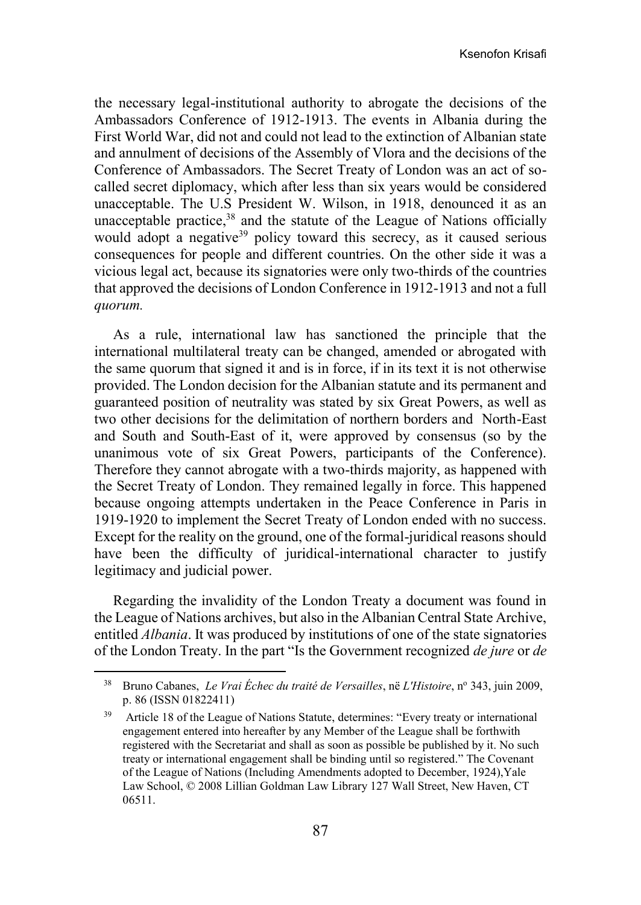the necessary legal-institutional authority to abrogate the decisions of the Ambassadors Conference of 1912-1913. The events in Albania during the First World War, did not and could not lead to the extinction of Albanian state and annulment of decisions of the Assembly of Vlora and the decisions of the Conference of Ambassadors. The Secret Treaty of London was an act of socalled secret diplomacy, which after less than six years would be considered unacceptable. The U.S President W. Wilson, in 1918, denounced it as an unacceptable practice, <sup>38</sup> and the statute of the League of Nations officially would adopt a negative<sup>39</sup> policy toward this secrecy, as it caused serious consequences for people and different countries. On the other side it was a vicious legal act, because its signatories were only two-thirds of the countries that approved the decisions of London Conference in 1912-1913 and not a full *quorum.*

As a rule, international law has sanctioned the principle that the international multilateral treaty can be changed, amended or abrogated with the same quorum that signed it and is in force, if in its text it is not otherwise provided. The London decision for the Albanian statute and its permanent and guaranteed position of neutrality was stated by six Great Powers, as well as two other decisions for the delimitation of northern borders and North-East and South and South-East of it, were approved by consensus (so by the unanimous vote of six Great Powers, participants of the Conference). Therefore they cannot abrogate with a two-thirds majority, as happened with the Secret Treaty of London. They remained legally in force. This happened because ongoing attempts undertaken in the Peace Conference in Paris in 1919-1920 to implement the Secret Treaty of London ended with no success. Except for the reality on the ground, one of the formal-juridical reasons should have been the difficulty of juridical-international character to justify legitimacy and judicial power.

Regarding the invalidity of the London Treaty a document was found in the League of Nations archives, but also in the Albanian Central State Archive, entitled *Albania*. It was produced by institutions of one of the state signatories of the London Treaty. In the part "Is the Government recognized *de jure* or *de* 

<sup>&</sup>lt;sup>38</sup> Bruno Cabanes, *Le Vrai Échec du traité de Versailles*, në *L'Histoire*, n<sup>o</sup> 343, juin 2009, p. 86 [\(ISSN](http://fr.wikipedia.org/wiki/International_Standard_Serial_Number) [01822411\)](http://worldcat.org/issn/01822411&lang=fr)

<sup>39</sup> Article 18 of the League of Nations Statute, determines: "Every treaty or international engagement entered into hereafter by any Member of the League shall be forthwith registered with the Secretariat and shall as soon as possible be published by it. No such treaty or international engagement shall be binding until so registered." The Covenant of the League of Nations (Including Amendments adopted to December, 1924),Yale Law School, © 2008 Lillian Goldman Law Library 127 Wall Street, New Haven, CT 06511.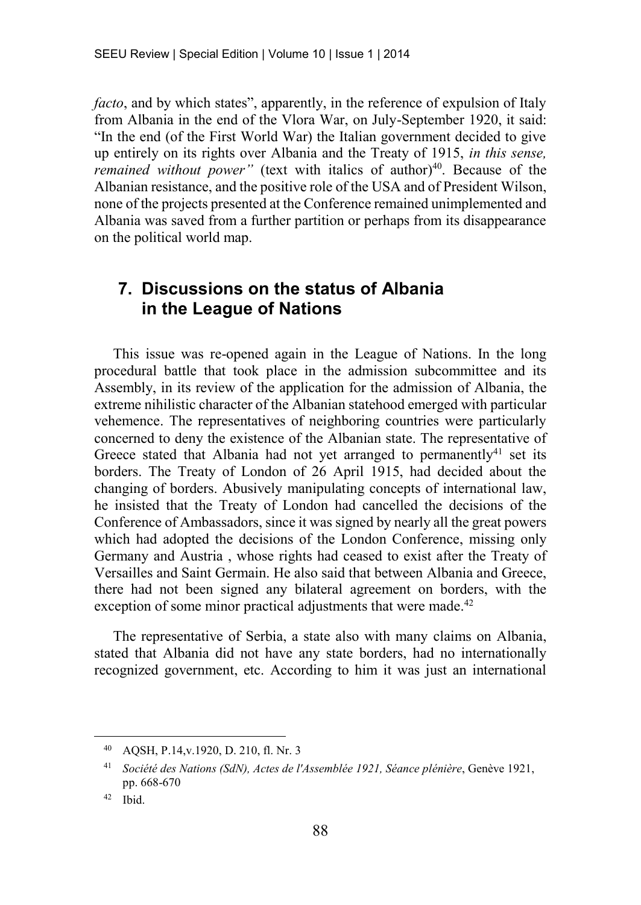*facto*, and by which states", apparently, in the reference of expulsion of Italy from Albania in the end of the Vlora War, on July-September 1920, it said: "In the end (of the First World War) the Italian government decided to give up entirely on its rights over Albania and the Treaty of 1915, *in this sense, remained without power"* (text with italics of author)<sup>40</sup>. Because of the Albanian resistance, and the positive role of the USA and of President Wilson, none of the projects presented at the Conference remained unimplemented and Albania was saved from a further partition or perhaps from its disappearance on the political world map.

# **7. Discussions on the status of Albania in the League of Nations**

This issue was re-opened again in the League of Nations. In the long procedural battle that took place in the admission subcommittee and its Assembly, in its review of the application for the admission of Albania, the extreme nihilistic character of the Albanian statehood emerged with particular vehemence. The representatives of neighboring countries were particularly concerned to deny the existence of the Albanian state. The representative of Greece stated that Albania had not yet arranged to permanently<sup>41</sup> set its borders. The Treaty of London of 26 April 1915, had decided about the changing of borders. Abusively manipulating concepts of international law, he insisted that the Treaty of London had cancelled the decisions of the Conference of Ambassadors, since it was signed by nearly all the great powers which had adopted the decisions of the London Conference, missing only Germany and Austria , whose rights had ceased to exist after the Treaty of Versailles and Saint Germain. He also said that between Albania and Greece, there had not been signed any bilateral agreement on borders, with the exception of some minor practical adjustments that were made.<sup>42</sup>

The representative of Serbia, a state also with many claims on Albania, stated that Albania did not have any state borders, had no internationally recognized government, etc. According to him it was just an international

<sup>40</sup> AQSH, P.14,v.1920, D. 210, fl. Nr. 3

<sup>41</sup> *Société des Nations (SdN), Actes de l'Assemblée 1921, Séance plénière*, Genève 1921, pp. 668-670

<sup>42</sup> Ibid.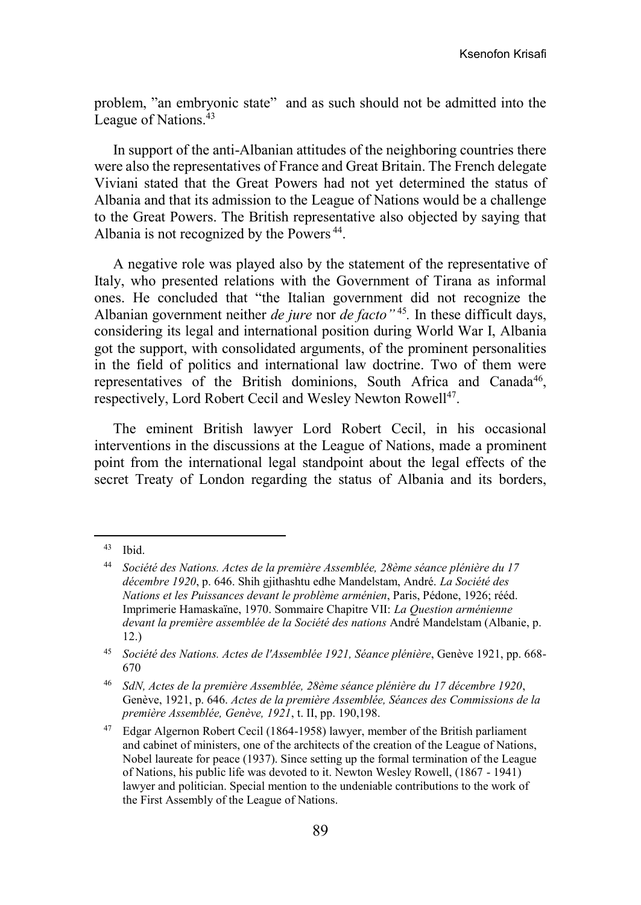problem, "an embryonic state" and as such should not be admitted into the League of Nations.<sup>43</sup>

In support of the anti-Albanian attitudes of the neighboring countries there were also the representatives of France and Great Britain. The French delegate Viviani stated that the Great Powers had not yet determined the status of Albania and that its admission to the League of Nations would be a challenge to the Great Powers. The British representative also objected by saying that Albania is not recognized by the Powers<sup>44</sup>.

A negative role was played also by the statement of the representative of Italy, who presented relations with the Government of Tirana as informal ones. He concluded that "the Italian government did not recognize the Albanian government neither *de jure* nor *de facto"* <sup>45</sup> *.* In these difficult days, considering its legal and international position during World War I, Albania got the support, with consolidated arguments, of the prominent personalities in the field of politics and international law doctrine. Two of them were representatives of the British dominions, South Africa and Canada<sup>46</sup>, respectively, Lord Robert Cecil and Wesley Newton Rowell<sup>47</sup>.

The eminent British lawyer Lord Robert Cecil, in his occasional interventions in the discussions at the League of Nations, made a prominent point from the international legal standpoint about the legal effects of the secret Treaty of London regarding the status of Albania and its borders,

<sup>43</sup> Ibid.

<sup>44</sup> *Société des Nations. Actes de la première Assemblée, 28ème séance plénière du 17 décembre 1920*, p. 646. Shih gjithashtu edhe Mandelstam, André. *La Société des Nations et les Puissances devant le problème arménien*, Paris, Pédone, 1926; rééd. Imprimerie Hamaskaïne, 1970. Sommaire Chapitre VII: *La Question arménienne devant la première assemblée de la Société des nations* André Mandelstam (Albanie, p. 12.)

<sup>45</sup> *Société des Nations. Actes de l'Assemblée 1921, Séance plénière*, Genève 1921, pp. 668- 670

<sup>46</sup> *SdN, Actes de la première Assemblée, 28ème séance plénière du 17 décembre 1920*, Genève, 1921, p. 646. *Actes de la première Assemblée, Séances des Commissions de la première Assemblée, Genève, 1921*, t. II, pp. 190,198.

<sup>47</sup> Edgar Algernon Robert Cecil (1864-1958) lawyer, member of the British parliament and cabinet of ministers, one of the architects of the creation of the League of Nations, Nobel laureate for peace (1937). Since setting up the formal termination of the League of Nations, his public life was devoted to it. Newton Wesley Rowell, (1867 - 1941) lawyer and politician. Special mention to the undeniable contributions to the work of the First Assembly of the League of Nations.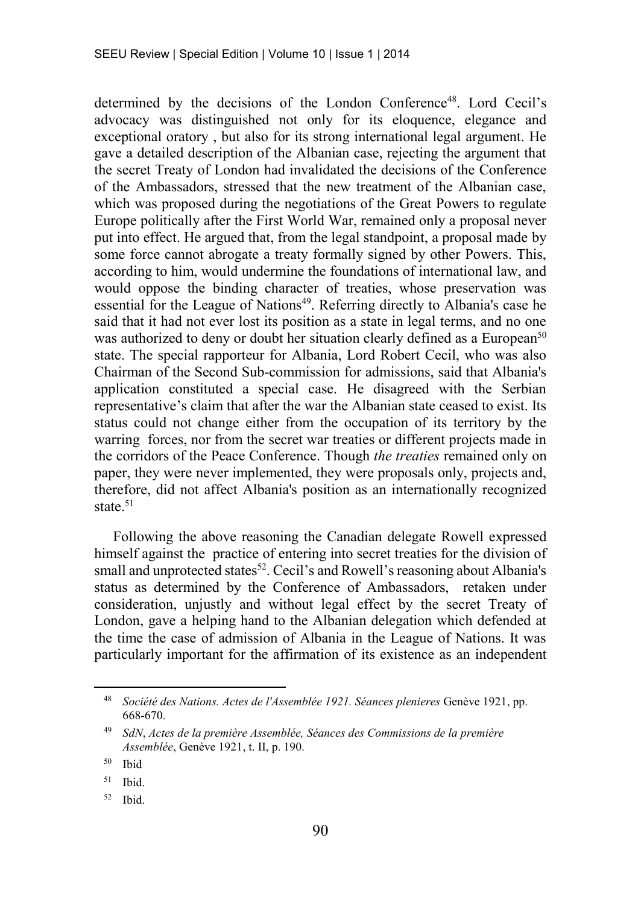determined by the decisions of the London Conference<sup>48</sup>. Lord Cecil's advocacy was distinguished not only for its eloquence, elegance and exceptional oratory , but also for its strong international legal argument. He gave a detailed description of the Albanian case, rejecting the argument that the secret Treaty of London had invalidated the decisions of the Conference of the Ambassadors, stressed that the new treatment of the Albanian case, which was proposed during the negotiations of the Great Powers to regulate Europe politically after the First World War, remained only a proposal never put into effect. He argued that, from the legal standpoint, a proposal made by some force cannot abrogate a treaty formally signed by other Powers. This, according to him, would undermine the foundations of international law, and would oppose the binding character of treaties, whose preservation was essential for the League of Nations<sup>49</sup>. Referring directly to Albania's case he said that it had not ever lost its position as a state in legal terms, and no one was authorized to deny or doubt her situation clearly defined as a European<sup>50</sup> state. The special rapporteur for Albania, Lord Robert Cecil, who was also Chairman of the Second Sub-commission for admissions, said that Albania's application constituted a special case. He disagreed with the Serbian representative's claim that after the war the Albanian state ceased to exist. Its status could not change either from the occupation of its territory by the warring forces, nor from the secret war treaties or different projects made in the corridors of the Peace Conference. Though *the treaties* remained only on paper, they were never implemented, they were proposals only, projects and, therefore, did not affect Albania's position as an internationally recognized state.<sup>51</sup>

Following the above reasoning the Canadian delegate Rowell expressed himself against the practice of entering into secret treaties for the division of small and unprotected states<sup>52</sup>. Cecil's and Rowell's reasoning about Albania's status as determined by the Conference of Ambassadors, retaken under consideration, unjustly and without legal effect by the secret Treaty of London, gave a helping hand to the Albanian delegation which defended at the time the case of admission of Albania in the League of Nations. It was particularly important for the affirmation of its existence as an independent

<sup>48</sup> *Société des Nations. Actes de l'Assemblée 1921. Séances plenieres* Genève 1921, pp. 668-670.

<sup>49</sup> *SdN*, *Actes de la première Assemblée, Séances des Commissions de la première Assemblée*, Genève 1921, t. II, p. 190.

<sup>50</sup> Ibid

 $51$  Ibid.

<sup>52</sup> Ibid.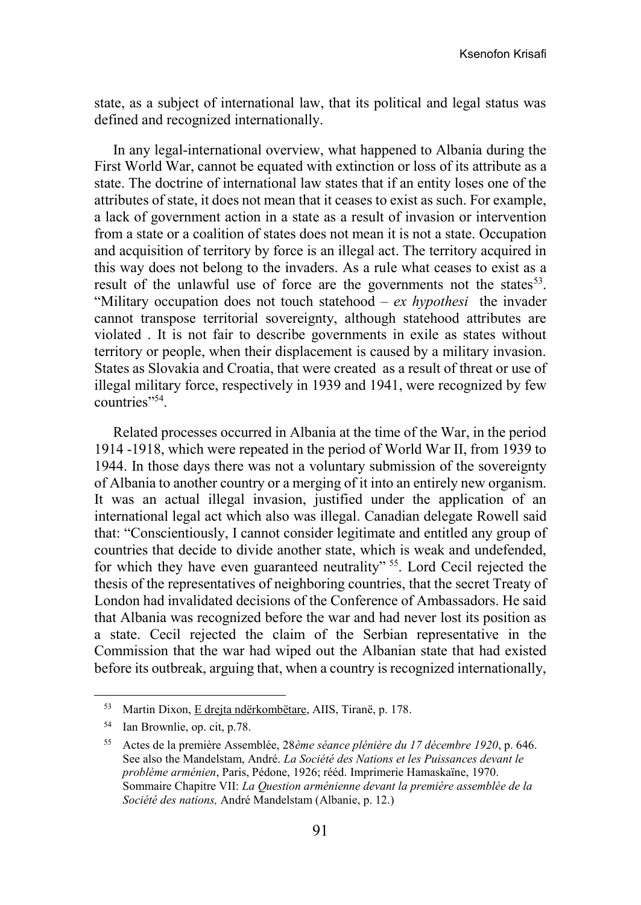state, as a subject of international law, that its political and legal status was defined and recognized internationally.

In any legal-international overview, what happened to Albania during the First World War, cannot be equated with extinction or loss of its attribute as a state. The doctrine of international law states that if an entity loses one of the attributes of state, it does not mean that it ceases to exist as such. For example, a lack of government action in a state as a result of invasion or intervention from a state or a coalition of states does not mean it is not a state. Occupation and acquisition of territory by force is an illegal act. The territory acquired in this way does not belong to the invaders. As a rule what ceases to exist as a result of the unlawful use of force are the governments not the states  $53$ . "Military occupation does not touch statehood *– ex hypothesi* the invader cannot transpose territorial sovereignty, although statehood attributes are violated . It is not fair to describe governments in exile as states without territory or people, when their displacement is caused by a military invasion. States as Slovakia and Croatia, that were created as a result of threat or use of illegal military force, respectively in 1939 and 1941, were recognized by few countries"<sup>54</sup>.

Related processes occurred in Albania at the time of the War, in the period 1914 -1918, which were repeated in the period of World War II, from 1939 to 1944. In those days there was not a voluntary submission of the sovereignty of Albania to another country or a merging of it into an entirely new organism. It was an actual illegal invasion, justified under the application of an international legal act which also was illegal. Canadian delegate Rowell said that: "Conscientiously, I cannot consider legitimate and entitled any group of countries that decide to divide another state, which is weak and undefended, for which they have even guaranteed neutrality" <sup>55</sup>. Lord Cecil rejected the thesis of the representatives of neighboring countries, that the secret Treaty of London had invalidated decisions of the Conference of Ambassadors. He said that Albania was recognized before the war and had never lost its position as a state. Cecil rejected the claim of the Serbian representative in the Commission that the war had wiped out the Albanian state that had existed before its outbreak, arguing that, when a country is recognized internationally,

<sup>53</sup> Martin Dixon, E drejta ndërkombëtare, AIIS, Tiranë, p. 178.

<sup>54</sup> Ian Brownlie, op. cit, p.78.

<sup>55</sup> Actes de la première Assemblée, 28*ème séance plénière du 17 décembre 1920*, p. 646. See also the Mandelstam, André. *La Société des Nations et les Puissances devant le problème arménien*, Paris, Pédone, 1926; rééd. Imprimerie Hamaskaïne, 1970. Sommaire Chapitre VII: *La Question arménienne devant la première assemblée de la Société des nations,* André Mandelstam (Albanie, p. 12.)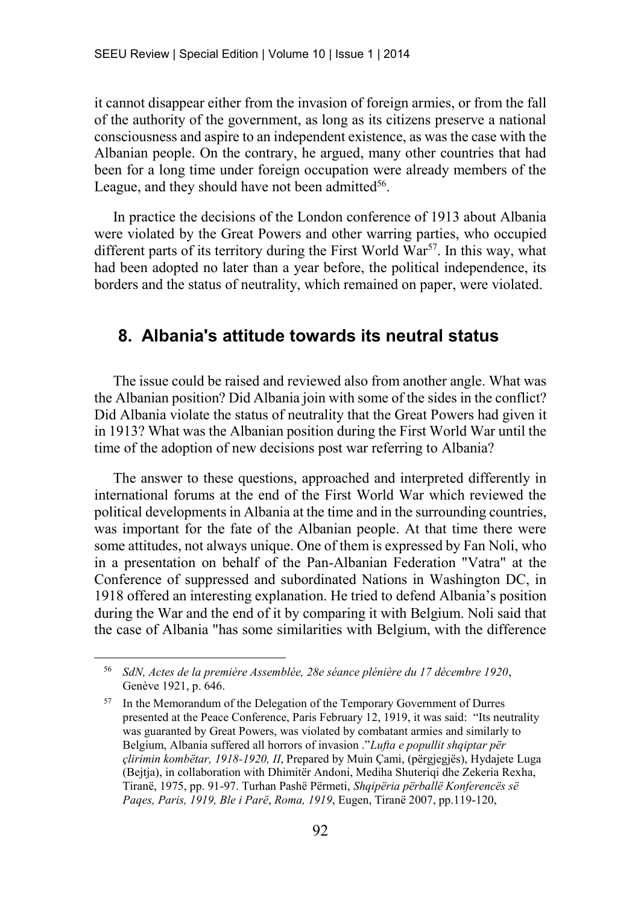it cannot disappear either from the invasion of foreign armies, or from the fall of the authority of the government, as long as its citizens preserve a national consciousness and aspire to an independent existence, as was the case with the Albanian people. On the contrary, he argued, many other countries that had been for a long time under foreign occupation were already members of the League, and they should have not been admitted<sup>56</sup>.

In practice the decisions of the London conference of 1913 about Albania were violated by the Great Powers and other warring parties, who occupied different parts of its territory during the First World  $\hat{W}$ ar<sup>57</sup>. In this way, what had been adopted no later than a year before, the political independence, its borders and the status of neutrality, which remained on paper, were violated.

#### **8. Albania's attitude towards its neutral status**

The issue could be raised and reviewed also from another angle. What was the Albanian position? Did Albania join with some of the sides in the conflict? Did Albania violate the status of neutrality that the Great Powers had given it in 1913? What was the Albanian position during the First World War until the time of the adoption of new decisions post war referring to Albania?

The answer to these questions, approached and interpreted differently in international forums at the end of the First World War which reviewed the political developments in Albania at the time and in the surrounding countries, was important for the fate of the Albanian people. At that time there were some attitudes, not always unique. One of them is expressed by Fan Noli, who in a presentation on behalf of the Pan-Albanian Federation "Vatra" at the Conference of suppressed and subordinated Nations in Washington DC, in 1918 offered an interesting explanation. He tried to defend Albania's position during the War and the end of it by comparing it with Belgium. Noli said that the case of Albania "has some similarities with Belgium, with the difference

<sup>56</sup> *SdN, Actes de la première Assemblée, 28e séance plénière du 17 décembre 1920*, Genève 1921, p. 646.

<sup>&</sup>lt;sup>57</sup> In the Memorandum of the Delegation of the Temporary Government of Durres presented at the Peace Conference, Paris February 12, 1919, it was said: "Its neutrality was guaranted by Great Powers, was violated by combatant armies and similarly to Belgium, Albania suffered all horrors of invasion ."*Lufta e popullit shqiptar për çlirimin kombëtar, 1918-1920, II*, Prepared by Muin Çami, (përgjegjës), Hydajete Luga (Bejtja), in collaboration with Dhimitër Andoni, Mediha Shuteriqi dhe Zekeria Rexha, Tiranë, 1975, pp. 91-97. Turhan Pashë Përmeti, *Shqipëria përballë Konferencës së Paqes, Paris, 1919, Ble i Parë*, *Roma, 1919*, Eugen, Tiranë 2007, pp.119-120,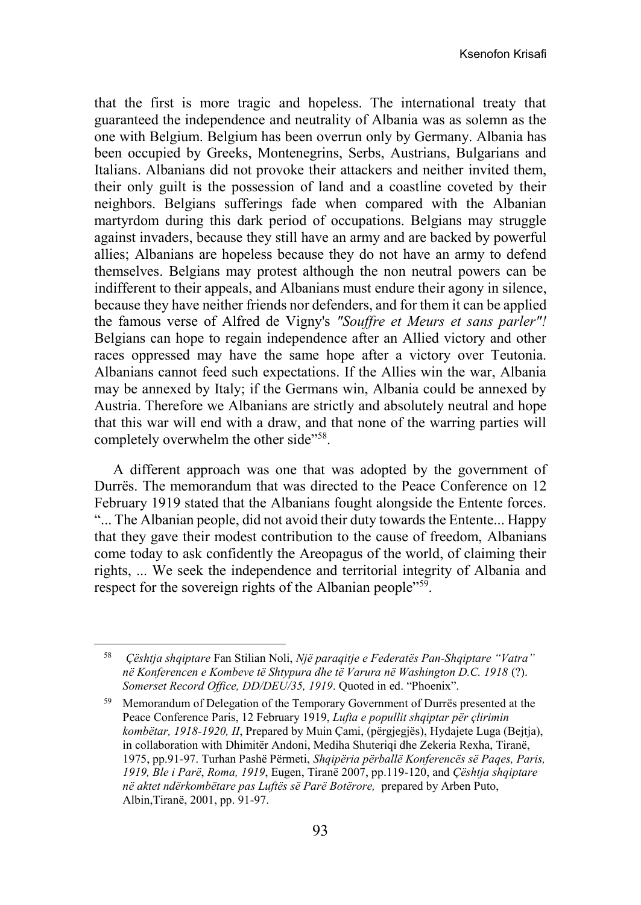that the first is more tragic and hopeless. The international treaty that guaranteed the independence and neutrality of Albania was as solemn as the one with Belgium. Belgium has been overrun only by Germany. Albania has been occupied by Greeks, Montenegrins, Serbs, Austrians, Bulgarians and Italians. Albanians did not provoke their attackers and neither invited them, their only guilt is the possession of land and a coastline coveted by their neighbors. Belgians sufferings fade when compared with the Albanian martyrdom during this dark period of occupations. Belgians may struggle against invaders, because they still have an army and are backed by powerful allies; Albanians are hopeless because they do not have an army to defend themselves. Belgians may protest although the non neutral powers can be indifferent to their appeals, and Albanians must endure their agony in silence, because they have neither friends nor defenders, and for them it can be applied the famous verse of Alfred de Vigny's *"Souffre et Meurs et sans parler"!*  Belgians can hope to regain independence after an Allied victory and other races oppressed may have the same hope after a victory over Teutonia. Albanians cannot feed such expectations. If the Allies win the war, Albania may be annexed by Italy; if the Germans win, Albania could be annexed by Austria. Therefore we Albanians are strictly and absolutely neutral and hope that this war will end with a draw, and that none of the warring parties will completely overwhelm the other side"<sup>58</sup>.

A different approach was one that was adopted by the government of Durrës. The memorandum that was directed to the Peace Conference on 12 February 1919 stated that the Albanians fought alongside the Entente forces. "... The Albanian people, did not avoid their duty towards the Entente... Happy that they gave their modest contribution to the cause of freedom, Albanians come today to ask confidently the Areopagus of the world, of claiming their rights, ... We seek the independence and territorial integrity of Albania and respect for the sovereign rights of the Albanian people"<sup>59</sup>.

<sup>58</sup> *Çështja shqiptare* Fan Stilian Noli, *Një paraqitje e Federatës Pan-Shqiptare "Vatra" në Konferencen e Kombeve të Shtypura dhe të Varura në Washington D.C. 1918* (?). *Somerset Record Office, DD/DEU/35, 1919*. Quoted in ed. "Phoenix".

<sup>59</sup> Memorandum of Delegation of the Temporary Government of Durrës presented at the Peace Conference Paris, 12 February 1919, *Lufta e popullit shqiptar për çlirimin kombëtar, 1918-1920, II*, Prepared by Muin Çami, (përgjegjës), Hydajete Luga (Bejtja), in collaboration with Dhimitër Andoni, Mediha Shuteriqi dhe Zekeria Rexha, Tiranë, 1975, pp.91-97. Turhan Pashë Përmeti, *Shqipëria përballë Konferencës së Paqes, Paris, 1919, Ble i Parë*, *Roma, 1919*, Eugen, Tiranë 2007, pp.119-120, and *Çështja shqiptare në aktet ndërkombëtare pas Luftës së Parë Botërore,* prepared by Arben Puto, Albin,Tiranë, 2001, pp. 91-97.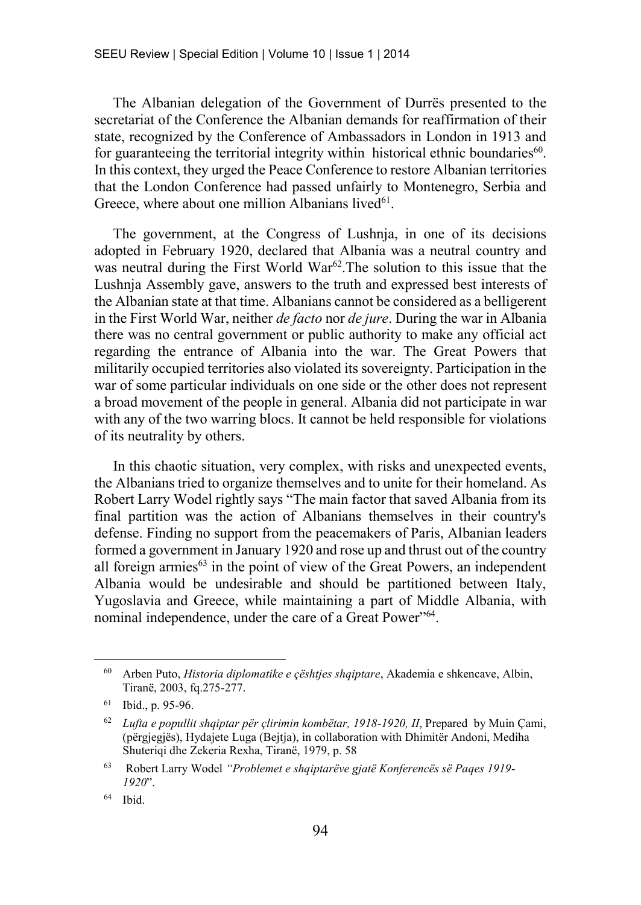The Albanian delegation of the Government of Durrës presented to the secretariat of the Conference the Albanian demands for reaffirmation of their state, recognized by the Conference of Ambassadors in London in 1913 and for guaranteeing the territorial integrity within historical ethnic boundaries<sup>60</sup>. In this context, they urged the Peace Conference to restore Albanian territories that the London Conference had passed unfairly to Montenegro, Serbia and Greece, where about one million Albanians lived $61$ .

The government, at the Congress of Lushnja, in one of its decisions adopted in February 1920, declared that Albania was a neutral country and was neutral during the First World War<sup>62</sup>. The solution to this issue that the Lushnja Assembly gave, answers to the truth and expressed best interests of the Albanian state at that time. Albanians cannot be considered as a belligerent in the First World War, neither *de facto* nor *de jure*. During the war in Albania there was no central government or public authority to make any official act regarding the entrance of Albania into the war. The Great Powers that militarily occupied territories also violated its sovereignty. Participation in the war of some particular individuals on one side or the other does not represent a broad movement of the people in general. Albania did not participate in war with any of the two warring blocs. It cannot be held responsible for violations of its neutrality by others.

In this chaotic situation, very complex, with risks and unexpected events, the Albanians tried to organize themselves and to unite for their homeland. As Robert Larry Wodel rightly says "The main factor that saved Albania from its final partition was the action of Albanians themselves in their country's defense. Finding no support from the peacemakers of Paris, Albanian leaders formed a government in January 1920 and rose up and thrust out of the country all foreign armies $63$  in the point of view of the Great Powers, an independent Albania would be undesirable and should be partitioned between Italy, Yugoslavia and Greece, while maintaining a part of Middle Albania, with nominal independence, under the care of a Great Power"<sup>64</sup>.

<sup>60</sup> Arben Puto, *Historia diplomatike e çështjes shqiptare*, Akademia e shkencave, Albin, Tiranë, 2003, fq.275-277.

<sup>61</sup> Ibid., p. 95-96.

<sup>62</sup> *Lufta e popullit shqiptar për çlirimin kombëtar, 1918-1920, II*, Prepared by Muin Çami, (përgjegjës), Hydajete Luga (Bejtja), in collaboration with Dhimitër Andoni, Mediha Shuteriqi dhe Zekeria Rexha, Tiranë, 1979, p. 58

<sup>63</sup> Robert Larry Wodel *"Problemet e shqiptarëve gjatë Konferencës së Paqes 1919- 1920*".

<sup>64</sup> Ibid.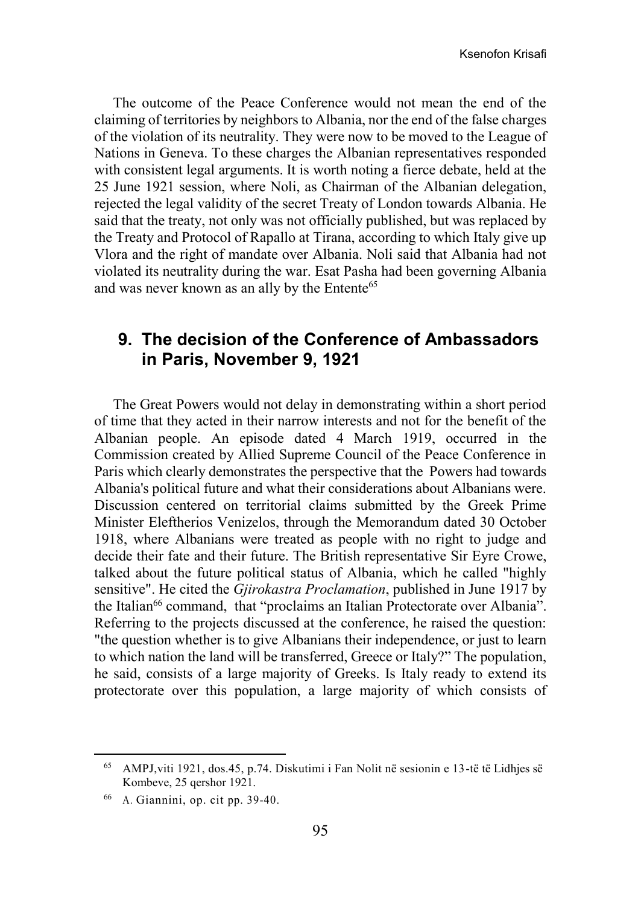The outcome of the Peace Conference would not mean the end of the claiming of territories by neighbors to Albania, nor the end of the false charges of the violation of its neutrality. They were now to be moved to the League of Nations in Geneva. To these charges the Albanian representatives responded with consistent legal arguments. It is worth noting a fierce debate, held at the 25 June 1921 session, where Noli, as Chairman of the Albanian delegation, rejected the legal validity of the secret Treaty of London towards Albania. He said that the treaty, not only was not officially published, but was replaced by the Treaty and Protocol of Rapallo at Tirana, according to which Italy give up Vlora and the right of mandate over Albania. Noli said that Albania had not violated its neutrality during the war. Esat Pasha had been governing Albania and was never known as an ally by the Entente<sup>65</sup>

# **9. The decision of the Conference of Ambassadors in Paris, November 9, 1921**

The Great Powers would not delay in demonstrating within a short period of time that they acted in their narrow interests and not for the benefit of the Albanian people. An episode dated 4 March 1919, occurred in the Commission created by Allied Supreme Council of the Peace Conference in Paris which clearly demonstrates the perspective that the Powers had towards Albania's political future and what their considerations about Albanians were. Discussion centered on territorial claims submitted by the Greek Prime Minister Eleftherios Venizelos, through the Memorandum dated 30 October 1918, where Albanians were treated as people with no right to judge and decide their fate and their future. The British representative Sir Eyre Crowe, talked about the future political status of Albania, which he called "highly sensitive". He cited the *Gjirokastra Proclamation*, published in June 1917 by the Italian<sup>66</sup> command, that "proclaims an Italian Protectorate over Albania". Referring to the projects discussed at the conference, he raised the question: "the question whether is to give Albanians their independence, or just to learn to which nation the land will be transferred, Greece or Italy?" The population, he said, consists of a large majority of Greeks. Is Italy ready to extend its protectorate over this population, a large majority of which consists of

<sup>65</sup> AMPJ,viti 1921, dos.45, p.74. Diskutimi i Fan Nolit në sesionin e 13-të të Lidhjes së Kombeve, 25 qershor 1921.

<sup>66</sup> A. Giannini, op. cit pp. 39-40.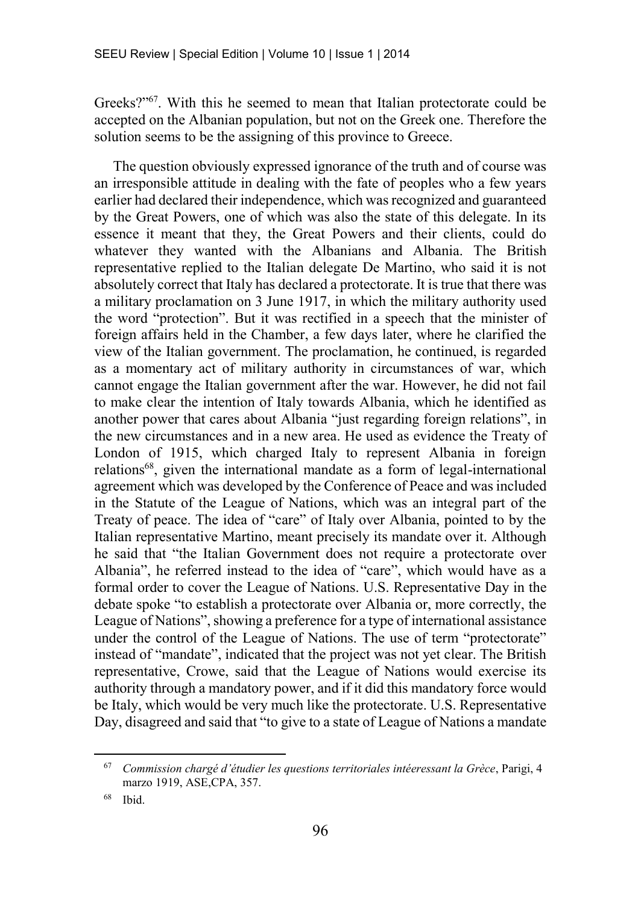Greeks?"<sup>67</sup>. With this he seemed to mean that Italian protectorate could be accepted on the Albanian population, but not on the Greek one. Therefore the solution seems to be the assigning of this province to Greece.

The question obviously expressed ignorance of the truth and of course was an irresponsible attitude in dealing with the fate of peoples who a few years earlier had declared their independence, which was recognized and guaranteed by the Great Powers, one of which was also the state of this delegate. In its essence it meant that they, the Great Powers and their clients, could do whatever they wanted with the Albanians and Albania. The British representative replied to the Italian delegate De Martino, who said it is not absolutely correct that Italy has declared a protectorate. It is true that there was a military proclamation on 3 June 1917, in which the military authority used the word "protection". But it was rectified in a speech that the minister of foreign affairs held in the Chamber, a few days later, where he clarified the view of the Italian government. The proclamation, he continued, is regarded as a momentary act of military authority in circumstances of war, which cannot engage the Italian government after the war. However, he did not fail to make clear the intention of Italy towards Albania, which he identified as another power that cares about Albania "just regarding foreign relations", in the new circumstances and in a new area. He used as evidence the Treaty of London of 1915, which charged Italy to represent Albania in foreign relations<sup>68</sup>, given the international mandate as a form of legal-international agreement which was developed by the Conference of Peace and was included in the Statute of the League of Nations, which was an integral part of the Treaty of peace. The idea of "care" of Italy over Albania, pointed to by the Italian representative Martino, meant precisely its mandate over it. Although he said that "the Italian Government does not require a protectorate over Albania", he referred instead to the idea of "care", which would have as a formal order to cover the League of Nations. U.S. Representative Day in the debate spoke "to establish a protectorate over Albania or, more correctly, the League of Nations", showing a preference for a type of international assistance under the control of the League of Nations. The use of term "protectorate" instead of "mandate", indicated that the project was not yet clear. The British representative, Crowe, said that the League of Nations would exercise its authority through a mandatory power, and if it did this mandatory force would be Italy, which would be very much like the protectorate. U.S. Representative Day, disagreed and said that "to give to a state of League of Nations a mandate

<sup>67</sup> *Commission chargé d'étudier les questions territoriales intéeressant la Grèce*, Parigi, 4 marzo 1919, ASE,CPA, 357.

<sup>68</sup> Ibid.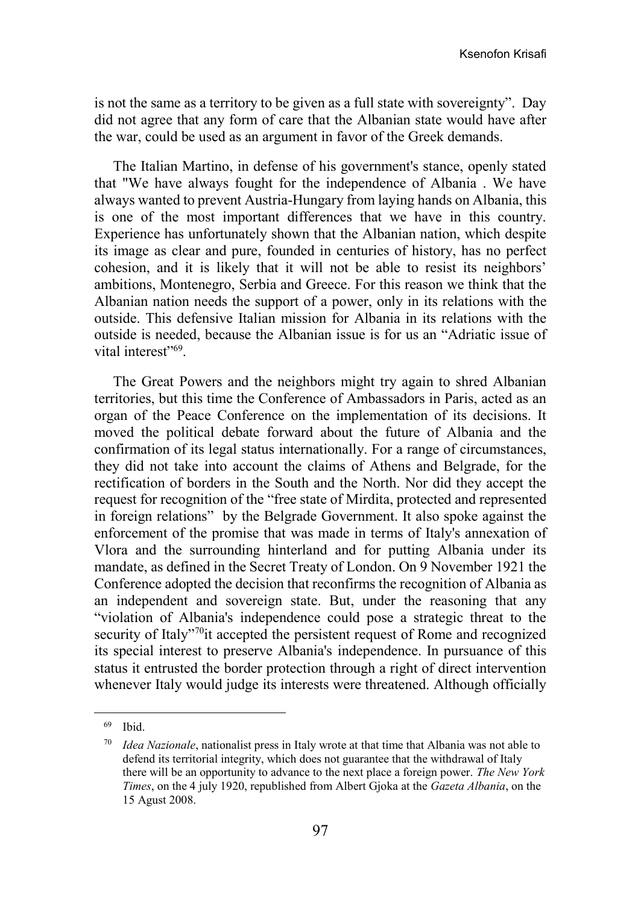is not the same as a territory to be given as a full state with sovereignty". Day did not agree that any form of care that the Albanian state would have after the war, could be used as an argument in favor of the Greek demands.

The Italian Martino, in defense of his government's stance, openly stated that "We have always fought for the independence of Albania . We have always wanted to prevent Austria-Hungary from laying hands on Albania, this is one of the most important differences that we have in this country. Experience has unfortunately shown that the Albanian nation, which despite its image as clear and pure, founded in centuries of history, has no perfect cohesion, and it is likely that it will not be able to resist its neighbors' ambitions, Montenegro, Serbia and Greece. For this reason we think that the Albanian nation needs the support of a power, only in its relations with the outside. This defensive Italian mission for Albania in its relations with the outside is needed, because the Albanian issue is for us an "Adriatic issue of vital interest"<sup>69</sup>.

The Great Powers and the neighbors might try again to shred Albanian territories, but this time the Conference of Ambassadors in Paris, acted as an organ of the Peace Conference on the implementation of its decisions. It moved the political debate forward about the future of Albania and the confirmation of its legal status internationally. For a range of circumstances, they did not take into account the claims of Athens and Belgrade, for the rectification of borders in the South and the North. Nor did they accept the request for recognition of the "free state of Mirdita, protected and represented in foreign relations" by the Belgrade Government. It also spoke against the enforcement of the promise that was made in terms of Italy's annexation of Vlora and the surrounding hinterland and for putting Albania under its mandate, as defined in the Secret Treaty of London. On 9 November 1921 the Conference adopted the decision that reconfirms the recognition of Albania as an independent and sovereign state. But, under the reasoning that any "violation of Albania's independence could pose a strategic threat to the security of Italy"<sup>70</sup>it accepted the persistent request of Rome and recognized its special interest to preserve Albania's independence. In pursuance of this status it entrusted the border protection through a right of direct intervention whenever Italy would judge its interests were threatened. Although officially

<sup>69</sup> Ibid.

*Idea Nazionale*, nationalist press in Italy wrote at that time that Albania was not able to defend its territorial integrity, which does not guarantee that the withdrawal of Italy there will be an opportunity to advance to the next place a foreign power. *The New York Times*, on the 4 july 1920, republished from Albert Gjoka at the *Gazeta Albania*, on the 15 Agust 2008.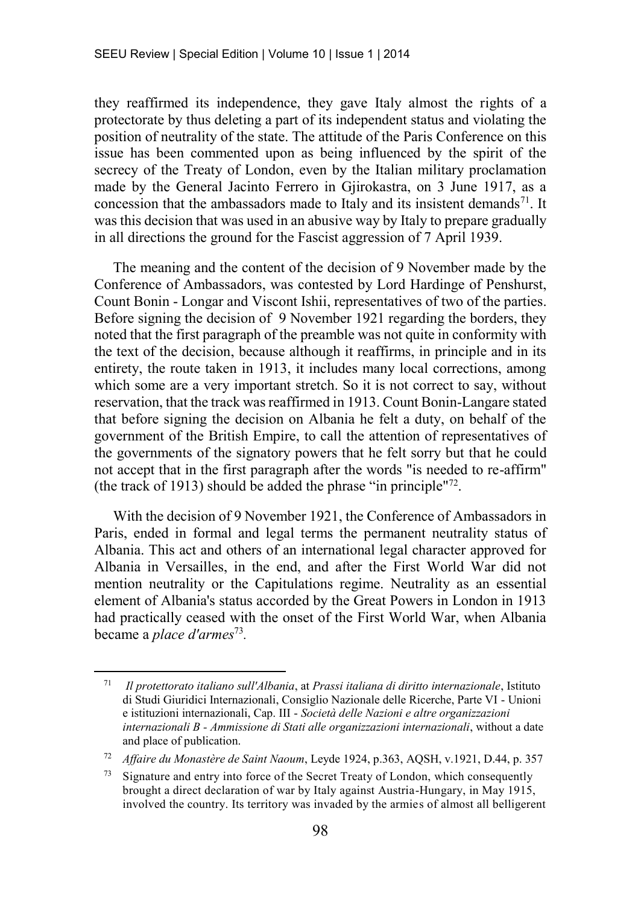they reaffirmed its independence, they gave Italy almost the rights of a protectorate by thus deleting a part of its independent status and violating the position of neutrality of the state. The attitude of the Paris Conference on this issue has been commented upon as being influenced by the spirit of the secrecy of the Treaty of London, even by the Italian military proclamation made by the General Jacinto Ferrero in Gjirokastra, on 3 June 1917, as a concession that the ambassadors made to Italy and its insistent demands<sup>71</sup>. It was this decision that was used in an abusive way by Italy to prepare gradually in all directions the ground for the Fascist aggression of 7 April 1939.

The meaning and the content of the decision of 9 November made by the Conference of Ambassadors, was contested by Lord Hardinge of Penshurst, Count Bonin - Longar and Viscont Ishii, representatives of two of the parties. Before signing the decision of 9 November 1921 regarding the borders, they noted that the first paragraph of the preamble was not quite in conformity with the text of the decision, because although it reaffirms, in principle and in its entirety, the route taken in 1913, it includes many local corrections, among which some are a very important stretch. So it is not correct to say, without reservation, that the track was reaffirmed in 1913. Count Bonin-Langare stated that before signing the decision on Albania he felt a duty, on behalf of the government of the British Empire, to call the attention of representatives of the governments of the signatory powers that he felt sorry but that he could not accept that in the first paragraph after the words "is needed to re-affirm" (the track of 1913) should be added the phrase "in principle"<sup>72</sup> .

With the decision of 9 November 1921, the Conference of Ambassadors in Paris, ended in formal and legal terms the permanent neutrality status of Albania. This act and others of an international legal character approved for Albania in Versailles, in the end, and after the First World War did not mention neutrality or the Capitulations regime. Neutrality as an essential element of Albania's status accorded by the Great Powers in London in 1913 had practically ceased with the onset of the First World War, when Albania became a *place d'armes*<sup>73</sup> *.* 

<sup>71</sup> *Il protettorato italiano sull'Albania*, at *Prassi italiana di diritto internazionale*, Istituto di Studi Giuridici Internazionali, Consiglio Nazionale delle Ricerche, Parte VI - Unioni e istituzioni internazionali, Cap. III - *Società delle Nazioni e altre organizzazioni internazionali B - Ammissione di Stati alle organizzazioni internazionali*, without a date and place of publication.

<sup>72</sup> *Affaire du Monastère de Saint Naoum*, Leyde 1924, p.363, AQSH, v.1921, D.44, p. 357

<sup>73</sup> Signature and entry into force of the Secret Treaty of London, which consequently brought a direct declaration of war by Italy against Austria-Hungary, in May 1915, involved the country. Its territory was invaded by the armies of almost all belligerent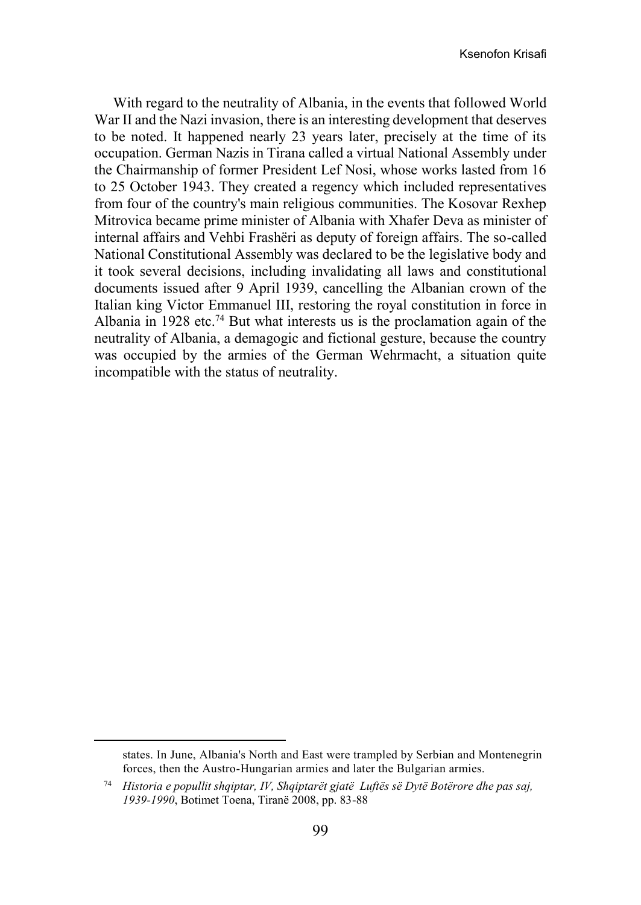With regard to the neutrality of Albania, in the events that followed World War II and the Nazi invasion, there is an interesting development that deserves to be noted. It happened nearly 23 years later, precisely at the time of its occupation. German Nazis in Tirana called a virtual National Assembly under the Chairmanship of former President Lef Nosi, whose works lasted from 16 to 25 October 1943. They created a regency which included representatives from four of the country's main religious communities. The Kosovar Rexhep Mitrovica became prime minister of Albania with Xhafer Deva as minister of internal affairs and Vehbi Frashëri as deputy of foreign affairs. The so-called National Constitutional Assembly was declared to be the legislative body and it took several decisions, including invalidating all laws and constitutional documents issued after 9 April 1939, cancelling the Albanian crown of the Italian king Victor Emmanuel III, restoring the royal constitution in force in Albania in 1928 etc.<sup>74</sup> But what interests us is the proclamation again of the neutrality of Albania, a demagogic and fictional gesture, because the country was occupied by the armies of the German Wehrmacht, a situation quite incompatible with the status of neutrality.

states. In June, Albania's North and East were trampled by Serbian and Montenegrin forces, then the Austro-Hungarian armies and later the Bulgarian armies.

<sup>74</sup> *Historia e popullit shqiptar, IV, Shqiptarët gjatë Luftës së Dytë Botërore dhe pas saj, 1939-1990*, Botimet Toena, Tiranë 2008, pp. 83-88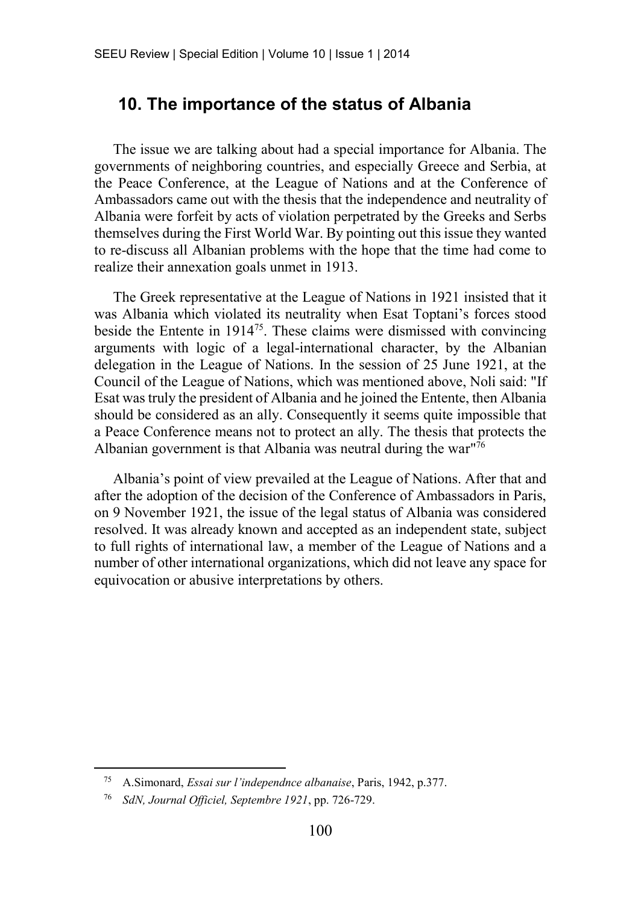## **10. The importance of the status of Albania**

The issue we are talking about had a special importance for Albania. The governments of neighboring countries, and especially Greece and Serbia, at the Peace Conference, at the League of Nations and at the Conference of Ambassadors came out with the thesis that the independence and neutrality of Albania were forfeit by acts of violation perpetrated by the Greeks and Serbs themselves during the First World War. By pointing out this issue they wanted to re-discuss all Albanian problems with the hope that the time had come to realize their annexation goals unmet in 1913.

The Greek representative at the League of Nations in 1921 insisted that it was Albania which violated its neutrality when Esat Toptani's forces stood beside the Entente in  $1914^{75}$ . These claims were dismissed with convincing arguments with logic of a legal-international character, by the Albanian delegation in the League of Nations. In the session of 25 June 1921, at the Council of the League of Nations, which was mentioned above, Noli said: "If Esat was truly the president of Albania and he joined the Entente, then Albania should be considered as an ally. Consequently it seems quite impossible that a Peace Conference means not to protect an ally. The thesis that protects the Albanian government is that Albania was neutral during the war"<sup>76</sup>

Albania's point of view prevailed at the League of Nations. After that and after the adoption of the decision of the Conference of Ambassadors in Paris, on 9 November 1921, the issue of the legal status of Albania was considered resolved. It was already known and accepted as an independent state, subject to full rights of international law, a member of the League of Nations and a number of other international organizations, which did not leave any space for equivocation or abusive interpretations by others.

<sup>75</sup> A.Simonard, *Essai sur l'independnce albanaise*, Paris, 1942, p.377.

<sup>76</sup> *SdN, Journal Officiel, Septembre 1921*, pp. 726-729.